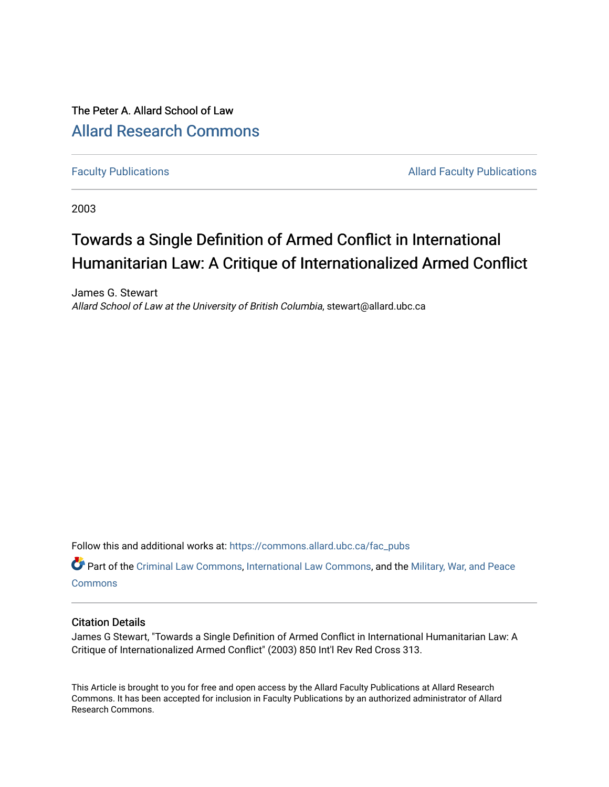## The Peter A. Allard School of Law [Allard Research Commons](https://commons.allard.ubc.ca/)

[Faculty Publications](https://commons.allard.ubc.ca/fac_pubs) **Allard Faculty Publications** 

2003

# Towards a Single Definition of Armed Conflict in International Humanitarian Law: A Critique of Internationalized Armed Conflict

James G. Stewart Allard School of Law at the University of British Columbia, stewart@allard.ubc.ca

Follow this and additional works at: [https://commons.allard.ubc.ca/fac\\_pubs](https://commons.allard.ubc.ca/fac_pubs?utm_source=commons.allard.ubc.ca%2Ffac_pubs%2F337&utm_medium=PDF&utm_campaign=PDFCoverPages)

Part of the [Criminal Law Commons,](http://network.bepress.com/hgg/discipline/912?utm_source=commons.allard.ubc.ca%2Ffac_pubs%2F337&utm_medium=PDF&utm_campaign=PDFCoverPages) [International Law Commons](http://network.bepress.com/hgg/discipline/609?utm_source=commons.allard.ubc.ca%2Ffac_pubs%2F337&utm_medium=PDF&utm_campaign=PDFCoverPages), and the [Military, War, and Peace](http://network.bepress.com/hgg/discipline/861?utm_source=commons.allard.ubc.ca%2Ffac_pubs%2F337&utm_medium=PDF&utm_campaign=PDFCoverPages) **[Commons](http://network.bepress.com/hgg/discipline/861?utm_source=commons.allard.ubc.ca%2Ffac_pubs%2F337&utm_medium=PDF&utm_campaign=PDFCoverPages)** 

## Citation Details

James G Stewart, "Towards a Single Definition of Armed Conflict in International Humanitarian Law: A Critique of Internationalized Armed Conflict" (2003) 850 Int'l Rev Red Cross 313.

This Article is brought to you for free and open access by the Allard Faculty Publications at Allard Research Commons. It has been accepted for inclusion in Faculty Publications by an authorized administrator of Allard Research Commons.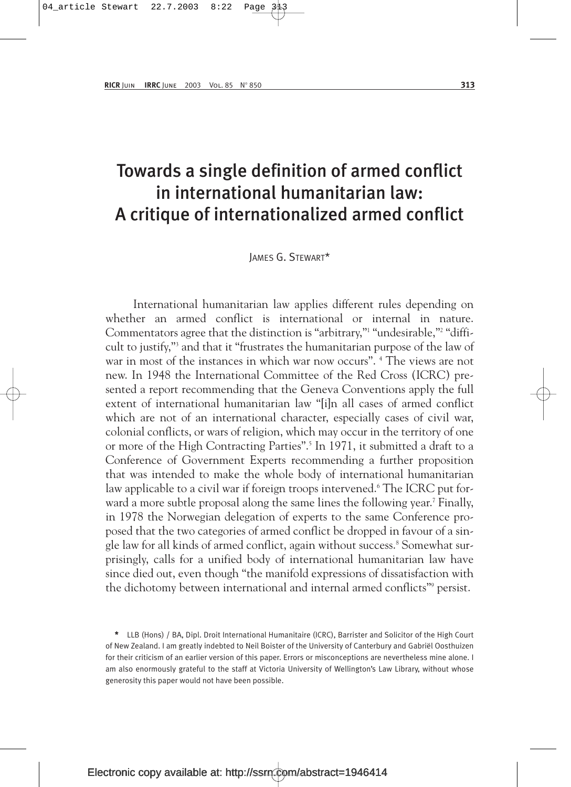## Towards a single definition of armed conflict in international humanitarian law: A critique of internationalized armed conflict

JAMES G. STEWART\*

International humanitarian law applies different rules depending on whether an armed conflict is international or internal in nature. Commentators agree that the distinction is "arbitrary," "undesirable,"<sup>2</sup> "difficult to justify,"3 and that it "frustrates the humanitarian purpose of the law of war in most of the instances in which war now occurs". <sup>4</sup> The views are not new. In 1948 the International Committee of the Red Cross (ICRC) presented a report recommending that the Geneva Conventions apply the full extent of international humanitarian law "[i]n all cases of armed conflict which are not of an international character, especially cases of civil war, colonial conflicts, or wars of religion, which may occur in the territory of one or more of the High Contracting Parties".5 In 1971, it submitted a draft to a Conference of Government Experts recommending a further proposition that was intended to make the whole body of international humanitarian law applicable to a civil war if foreign troops intervened.<sup>6</sup> The ICRC put forward a more subtle proposal along the same lines the following year.<sup>7</sup> Finally, in 1978 the Norwegian delegation of experts to the same Conference proposed that the two categories of armed conflict be dropped in favour of a single law for all kinds of armed conflict, again without success.<sup>8</sup> Somewhat surprisingly, calls for a unified body of international humanitarian law have since died out, even though "the manifold expressions of dissatisfaction with the dichotomy between international and internal armed conflicts"<sup>9</sup> persist.

\* LLB (Hons) / BA, Dipl. Droit International Humanitaire (ICRC), Barrister and Solicitor of the High Court of New Zealand. I am greatly indebted to Neil Boister of the University of Canterbury and Gabriël Oosthuizen for their criticism of an earlier version of this paper. Errors or misconceptions are nevertheless mine alone. I am also enormously grateful to the staff at Victoria University of Wellington's Law Library, without whose generosity this paper would not have been possible.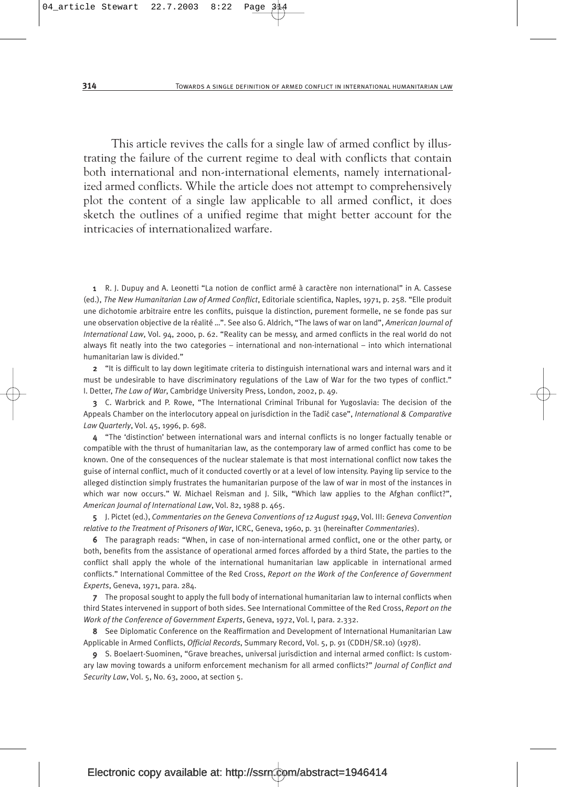This article revives the calls for a single law of armed conflict by illustrating the failure of the current regime to deal with conflicts that contain both international and non-international elements, namely internationalized armed conflicts. While the article does not attempt to comprehensively plot the content of a single law applicable to all armed conflict, it does sketch the outlines of a unified regime that might better account for the intricacies of internationalized warfare.

1 R. J. Dupuy and A. Leonetti "La notion de conflict armé à caractère non international" in A. Cassese (ed.), *The New Humanitarian Law of Armed Conflict*, Editoriale scientifica, Naples, 1971, p. 258. "Elle produit une dichotomie arbitraire entre les conflits, puisque la distinction, purement formelle, ne se fonde pas sur une observation objective de la réalité …". See also G. Aldrich, "The laws of war on land", *American Journal of International Law*, Vol. 94, 2000, p. 62. "Reality can be messy, and armed conflicts in the real world do not always fit neatly into the two categories – international and non-international – into which international humanitarian law is divided."

2 "It is difficult to lay down legitimate criteria to distinguish international wars and internal wars and it must be undesirable to have discriminatory regulations of the Law of War for the two types of conflict." I. Detter, *The Law of War*, Cambridge University Press, London, 2002, p. 49.

3 C. Warbrick and P. Rowe, "The International Criminal Tribunal for Yugoslavia: The decision of the Appeals Chamber on the interlocutory appeal on jurisdiction in the Tadić case", *International & Comparative Law Quarterly*, Vol. 45, 1996, p. 698.

4 "The 'distinction' between international wars and internal conflicts is no longer factually tenable or compatible with the thrust of humanitarian law, as the contemporary law of armed conflict has come to be known. One of the consequences of the nuclear stalemate is that most international conflict now takes the guise of internal conflict, much of it conducted covertly or at a level of low intensity. Paying lip service to the alleged distinction simply frustrates the humanitarian purpose of the law of war in most of the instances in which war now occurs." W. Michael Reisman and J. Silk, "Which law applies to the Afghan conflict?", *American Journal of International Law*, Vol. 82, 1988 p. 465.

5 J. Pictet (ed.), *Commentaries on the Geneva Conventions of 12 August 1949*, Vol. III: *Geneva Convention relative to the Treatment of Prisoners of War*, ICRC, Geneva, 1960, p. 31 (hereinafter *Commentaries*).

6 The paragraph reads: "When, in case of non-international armed conflict, one or the other party, or both, benefits from the assistance of operational armed forces afforded by a third State, the parties to the conflict shall apply the whole of the international humanitarian law applicable in international armed conflicts." International Committee of the Red Cross, *Report on the Work of the Conference of Government Experts*, Geneva, 1971, para. 284.

7 The proposal sought to apply the full body of international humanitarian law to internal conflicts when third States intervened in support of both sides. See International Committee of the Red Cross, *Report on the Work of the Conference of Government Experts*, Geneva, 1972, Vol. I, para. 2.332.

8 See Diplomatic Conference on the Reaffirmation and Development of International Humanitarian Law Applicable in Armed Conflicts, *Official Records*, Summary Record, Vol. 5, p. 91 (CDDH/SR.10) (1978).

9 S. Boelaert-Suominen, "Grave breaches, universal jurisdiction and internal armed conflict: Is customary law moving towards a uniform enforcement mechanism for all armed conflicts?" *Journal of Conflict and Security Law*, Vol. 5, No. 63, 2000, at section 5.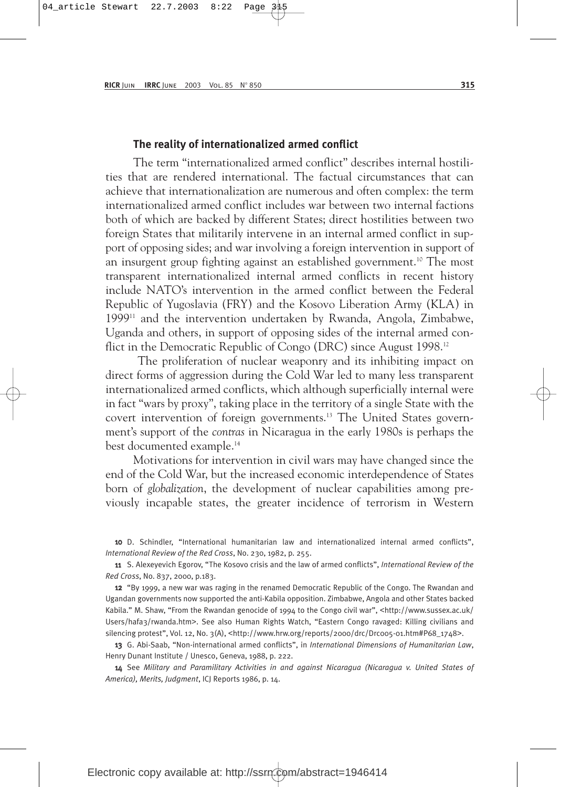#### **The reality of internationalized armed conflict**

The term "internationalized armed conflict" describes internal hostilities that are rendered international. The factual circumstances that can achieve that internationalization are numerous and often complex: the term internationalized armed conflict includes war between two internal factions both of which are backed by different States; direct hostilities between two foreign States that militarily intervene in an internal armed conflict in support of opposing sides; and war involving a foreign intervention in support of an insurgent group fighting against an established government.<sup>10</sup> The most transparent internationalized internal armed conflicts in recent history include NATO's intervention in the armed conflict between the Federal Republic of Yugoslavia (FRY) and the Kosovo Liberation Army (KLA) in 199911 and the intervention undertaken by Rwanda, Angola, Zimbabwe, Uganda and others, in support of opposing sides of the internal armed conflict in the Democratic Republic of Congo (DRC) since August 1998.12

The proliferation of nuclear weaponry and its inhibiting impact on direct forms of aggression during the Cold War led to many less transparent internationalized armed conflicts, which although superficially internal were in fact "wars by proxy", taking place in the territory of a single State with the covert intervention of foreign governments.13 The United States government's support of the *contras* in Nicaragua in the early 1980s is perhaps the best documented example.14

Motivations for intervention in civil wars may have changed since the end of the Cold War, but the increased economic interdependence of States born of *globalization*, the development of nuclear capabilities among previously incapable states, the greater incidence of terrorism in Western

10 D. Schindler, "International humanitarian law and internationalized internal armed conflicts", *International Review of the Red Cross*, No. 230, 1982, p. 255.

11 S. Alexeyevich Egorov, "The Kosovo crisis and the law of armed conflicts", *International Review of the Red Cross*, No. 837, 2000, p.183.

12 "By 1999, a new war was raging in the renamed Democratic Republic of the Congo. The Rwandan and Ugandan governments now supported the anti-Kabila opposition. Zimbabwe, Angola and other States backed Kabila." M. Shaw, "From the Rwandan genocide of 1994 to the Congo civil war", <http://www.sussex.ac.uk/ Users/hafa3/rwanda.htm>. See also Human Rights Watch, "Eastern Congo ravaged: Killing civilians and silencing protest", Vol. 12, No. 3(A), <http://www.hrw.org/reports/2000/drc/Drc005-01.htm#P68\_1748>.

13 G. Abi-Saab, "Non-international armed conflicts", in *International Dimensions of Humanitarian Law*, Henry Dunant Institute / Unesco, Geneva, 1988, p. 222.

14 See *Military and Paramilitary Activities in and against Nicaragua (Nicaragua v. United States of America), Merits, Judgment*, ICJ Reports 1986, p. 14.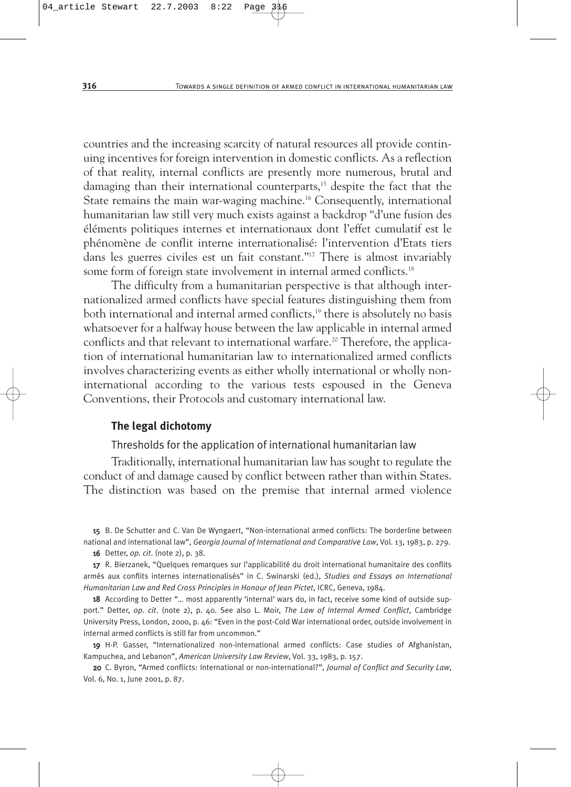countries and the increasing scarcity of natural resources all provide continuing incentives for foreign intervention in domestic conflicts. As a reflection of that reality, internal conflicts are presently more numerous, brutal and damaging than their international counterparts,<sup>15</sup> despite the fact that the State remains the main war-waging machine.<sup>16</sup> Consequently, international humanitarian law still very much exists against a backdrop "d'une fusion des éléments politiques internes et internationaux dont l'effet cumulatif est le phénomène de conflit interne internationalisé: l'intervention d'Etats tiers dans les guerres civiles est un fait constant."17 There is almost invariably some form of foreign state involvement in internal armed conflicts.<sup>18</sup>

The difficulty from a humanitarian perspective is that although internationalized armed conflicts have special features distinguishing them from both international and internal armed conflicts,<sup>19</sup> there is absolutely no basis whatsoever for a halfway house between the law applicable in internal armed conflicts and that relevant to international warfare.<sup>20</sup> Therefore, the application of international humanitarian law to internationalized armed conflicts involves characterizing events as either wholly international or wholly noninternational according to the various tests espoused in the Geneva Conventions, their Protocols and customary international law.

#### **The legal dichotomy**

Thresholds for the application of international humanitarian law

Traditionally, international humanitarian law has sought to regulate the conduct of and damage caused by conflict between rather than within States. The distinction was based on the premise that internal armed violence

15 B. De Schutter and C. Van De Wyngaert, "Non-international armed conflicts: The borderline between national and international law", *Georgia Journal of International and Comparative Law*, Vol. 13, 1983, p. 279.

16 Detter, *op. cit*. (note 2), p. 38.

17 R. Bierzanek, "Quelques remarques sur l'applicabilité du droit international humanitaire des conflits armés aux conflits internes internationalisés" in C. Swinarski (ed.), *Studies and Essays on International Humanitarian Law and Red Cross Principles in Honour of Jean Pictet*, ICRC, Geneva, 1984.

18 According to Detter "... most apparently 'internal' wars do, in fact, receive some kind of outside support." Detter, *op. cit*. (note 2), p. 40. See also L. Moir, *The Law of Internal Armed Conflict*, Cambridge University Press, London, 2000, p. 46: "Even in the post-Cold War international order, outside involvement in internal armed conflicts is still far from uncommon."

19 H-P. Gasser, "Internationalized non-international armed conflicts: Case studies of Afghanistan, Kampuchea, and Lebanon", *American University Law Review*, Vol. 33, 1983, p. 157.

20 C. Byron, "Armed conflicts: International or non-international?", *Journal of Conflict and Security Law*, Vol. 6, No. 1, June 2001, p. 87.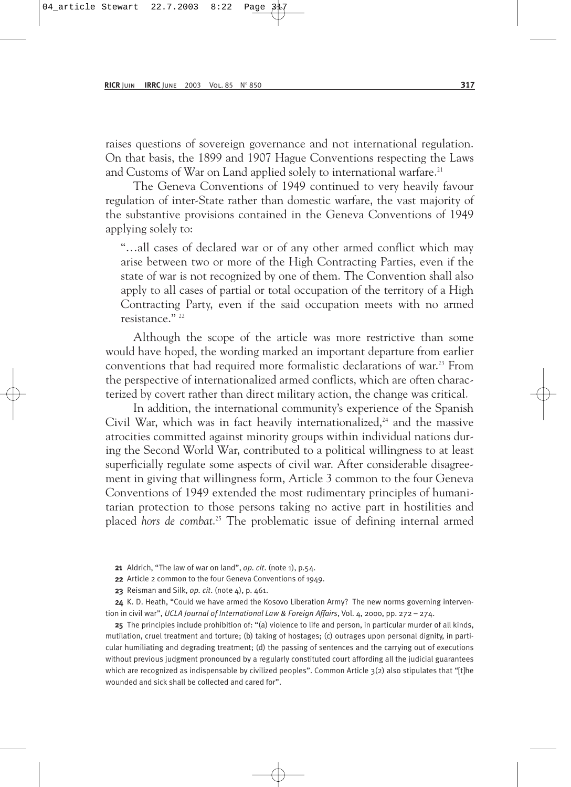raises questions of sovereign governance and not international regulation. On that basis, the 1899 and 1907 Hague Conventions respecting the Laws and Customs of War on Land applied solely to international warfare.<sup>21</sup>

The Geneva Conventions of 1949 continued to very heavily favour regulation of inter-State rather than domestic warfare, the vast majority of the substantive provisions contained in the Geneva Conventions of 1949 applying solely to:

"…all cases of declared war or of any other armed conflict which may arise between two or more of the High Contracting Parties, even if the state of war is not recognized by one of them. The Convention shall also apply to all cases of partial or total occupation of the territory of a High Contracting Party, even if the said occupation meets with no armed resistance." 22

Although the scope of the article was more restrictive than some would have hoped, the wording marked an important departure from earlier conventions that had required more formalistic declarations of war.23 From the perspective of internationalized armed conflicts, which are often characterized by covert rather than direct military action, the change was critical.

In addition, the international community's experience of the Spanish Civil War, which was in fact heavily internationalized, $24$  and the massive atrocities committed against minority groups within individual nations during the Second World War, contributed to a political willingness to at least superficially regulate some aspects of civil war. After considerable disagreement in giving that willingness form, Article 3 common to the four Geneva Conventions of 1949 extended the most rudimentary principles of humanitarian protection to those persons taking no active part in hostilities and placed *hors de combat*. <sup>25</sup> The problematic issue of defining internal armed

21 Aldrich, "The law of war on land", *op. cit*. (note 1), p.54.

22 Article 2 common to the four Geneva Conventions of 1949.

23 Reisman and Silk, *op. cit*. (note 4), p. 461.

24 K. D. Heath, "Could we have armed the Kosovo Liberation Army? The new norms governing intervention in civil war", *UCLA Journal of International Law & Foreign Affairs*, Vol. 4, 2000, pp. 272 – 274.

25 The principles include prohibition of: "(a) violence to life and person, in particular murder of all kinds, mutilation, cruel treatment and torture; (b) taking of hostages; (c) outrages upon personal dignity, in particular humiliating and degrading treatment; (d) the passing of sentences and the carrying out of executions without previous judgment pronounced by a regularly constituted court affording all the judicial guarantees which are recognized as indispensable by civilized peoples". Common Article  $3(2)$  also stipulates that "[t]he wounded and sick shall be collected and cared for".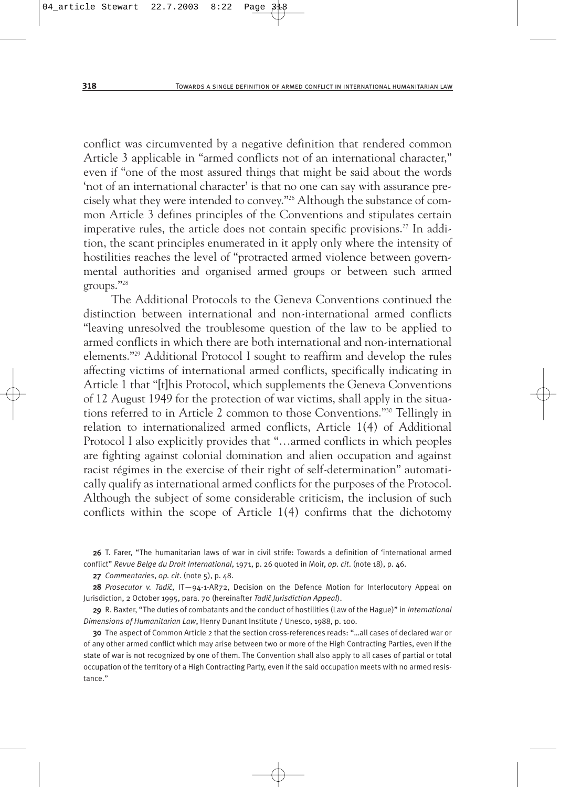conflict was circumvented by a negative definition that rendered common Article 3 applicable in "armed conflicts not of an international character," even if "one of the most assured things that might be said about the words 'not of an international character' is that no one can say with assurance precisely what they were intended to convey."26 Although the substance of common Article 3 defines principles of the Conventions and stipulates certain imperative rules, the article does not contain specific provisions.<sup>27</sup> In addition, the scant principles enumerated in it apply only where the intensity of hostilities reaches the level of "protracted armed violence between governmental authorities and organised armed groups or between such armed groups."28

The Additional Protocols to the Geneva Conventions continued the distinction between international and non-international armed conflicts "leaving unresolved the troublesome question of the law to be applied to armed conflicts in which there are both international and non-international elements."29 Additional Protocol I sought to reaffirm and develop the rules affecting victims of international armed conflicts, specifically indicating in Article 1 that "[t]his Protocol, which supplements the Geneva Conventions of 12 August 1949 for the protection of war victims, shall apply in the situations referred to in Article 2 common to those Conventions."30 Tellingly in relation to internationalized armed conflicts, Article 1(4) of Additional Protocol I also explicitly provides that "…armed conflicts in which peoples are fighting against colonial domination and alien occupation and against racist régimes in the exercise of their right of self-determination" automatically qualify as international armed conflicts for the purposes of the Protocol. Although the subject of some considerable criticism, the inclusion of such conflicts within the scope of Article 1(4) confirms that the dichotomy

26 T. Farer, "The humanitarian laws of war in civil strife: Towards a definition of 'international armed conflict" *Revue Belge du Droit International*, 1971, p. 26 quoted in Moir, *op. cit*. (note 18), p. 46.

27 *Commentaries*, *op. cit*. (note 5), p. 48.

28 *Prosecutor v. Tadić*, IT-94-1-AR72, Decision on the Defence Motion for Interlocutory Appeal on Jurisdiction, 2 October 1995, para. 70 (hereinafter *Tadić Jurisdiction Appeal*).

29 R. Baxter, "The duties of combatants and the conduct of hostilities (Law of the Hague)" in *International Dimensions of Humanitarian Law*, Henry Dunant Institute / Unesco, 1988, p. 100.

30 The aspect of Common Article 2 that the section cross-references reads: "…all cases of declared war or of any other armed conflict which may arise between two or more of the High Contracting Parties, even if the state of war is not recognized by one of them. The Convention shall also apply to all cases of partial or total occupation of the territory of a High Contracting Party, even if the said occupation meets with no armed resistance."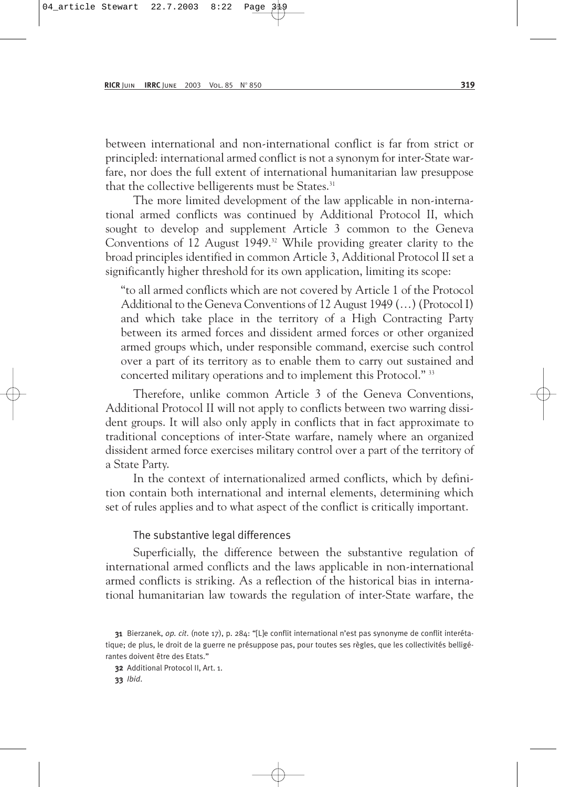between international and non-international conflict is far from strict or principled: international armed conflict is not a synonym for inter-State warfare, nor does the full extent of international humanitarian law presuppose that the collective belligerents must be States.<sup>31</sup>

The more limited development of the law applicable in non-international armed conflicts was continued by Additional Protocol II, which sought to develop and supplement Article 3 common to the Geneva Conventions of 12 August 1949.<sup>32</sup> While providing greater clarity to the broad principles identified in common Article 3, Additional Protocol II set a significantly higher threshold for its own application, limiting its scope:

"to all armed conflicts which are not covered by Article 1 of the Protocol Additional to the Geneva Conventions of 12 August 1949 (…) (Protocol I) and which take place in the territory of a High Contracting Party between its armed forces and dissident armed forces or other organized armed groups which, under responsible command, exercise such control over a part of its territory as to enable them to carry out sustained and concerted military operations and to implement this Protocol." 33

Therefore, unlike common Article 3 of the Geneva Conventions, Additional Protocol II will not apply to conflicts between two warring dissident groups. It will also only apply in conflicts that in fact approximate to traditional conceptions of inter-State warfare, namely where an organized dissident armed force exercises military control over a part of the territory of a State Party.

In the context of internationalized armed conflicts, which by definition contain both international and internal elements, determining which set of rules applies and to what aspect of the conflict is critically important.

#### The substantive legal differences

Superficially, the difference between the substantive regulation of international armed conflicts and the laws applicable in non-international armed conflicts is striking. As a reflection of the historical bias in international humanitarian law towards the regulation of inter-State warfare, the

<sup>31</sup> Bierzanek, *op. cit*. (note 17), p. 284: "[L]e conflit international n'est pas synonyme de conflit interétatique; de plus, le droit de la guerre ne présuppose pas, pour toutes ses règles, que les collectivités belligérantes doivent être des Etats."

<sup>32</sup> Additional Protocol II, Art. 1.

<sup>33</sup> *Ibid*.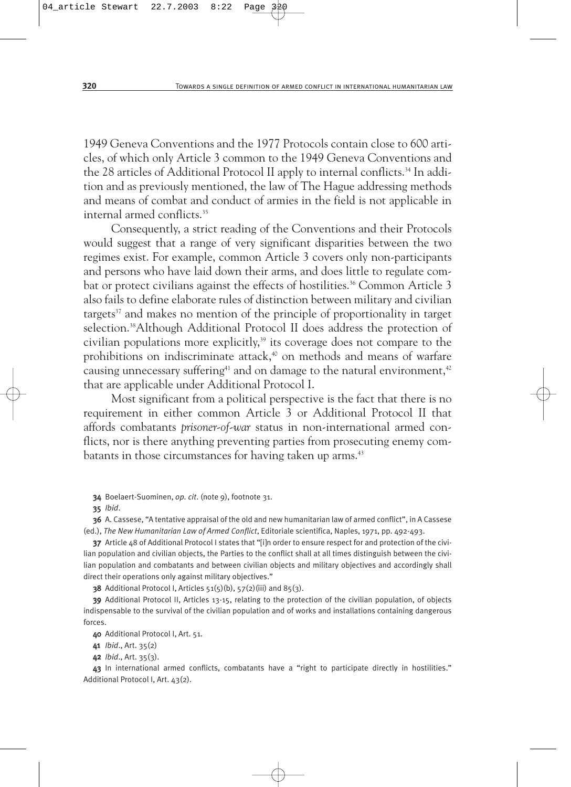1949 Geneva Conventions and the 1977 Protocols contain close to 600 articles, of which only Article 3 common to the 1949 Geneva Conventions and the 28 articles of Additional Protocol II apply to internal conflicts.<sup>34</sup> In addition and as previously mentioned, the law of The Hague addressing methods and means of combat and conduct of armies in the field is not applicable in internal armed conflicts.35

Consequently, a strict reading of the Conventions and their Protocols would suggest that a range of very significant disparities between the two regimes exist. For example, common Article 3 covers only non-participants and persons who have laid down their arms, and does little to regulate combat or protect civilians against the effects of hostilities.<sup>36</sup> Common Article 3 also fails to define elaborate rules of distinction between military and civilian targets $37$  and makes no mention of the principle of proportionality in target selection.<sup>38</sup>Although Additional Protocol II does address the protection of civilian populations more explicitly,<sup>39</sup> its coverage does not compare to the prohibitions on indiscriminate attack, $40$  on methods and means of warfare causing unnecessary suffering<sup>41</sup> and on damage to the natural environment,<sup>42</sup> that are applicable under Additional Protocol I.

Most significant from a political perspective is the fact that there is no requirement in either common Article 3 or Additional Protocol II that affords combatants *prisoner-of-war* status in non-international armed conflicts, nor is there anything preventing parties from prosecuting enemy combatants in those circumstances for having taken up arms.<sup>43</sup>

34 Boelaert-Suominen, *op. cit*. (note 9), footnote 31.

35 *Ibid*.

36 A. Cassese, "A tentative appraisal of the old and new humanitarian law of armed conflict", in A Cassese (ed.), *The New Humanitarian Law of Armed Conflict*, Editoriale scientifica, Naples, 1971, pp. 492-493.

37 Article 48 of Additional Protocol I states that "[i]n order to ensure respect for and protection of the civilian population and civilian objects, the Parties to the conflict shall at all times distinguish between the civilian population and combatants and between civilian objects and military objectives and accordingly shall direct their operations only against military objectives."

38 Additional Protocol I, Articles  $51(5)(b)$ ,  $57(2)(iii)$  and  $85(3)$ .

39 Additional Protocol II, Articles 13-15, relating to the protection of the civilian population, of objects indispensable to the survival of the civilian population and of works and installations containing dangerous forces.

40 Additional Protocol I, Art. 51.

41 *Ibid*., Art. 35(2)

42 *Ibid*., Art. 35(3).

43 In international armed conflicts, combatants have a "right to participate directly in hostilities." Additional Protocol I, Art. 43(2).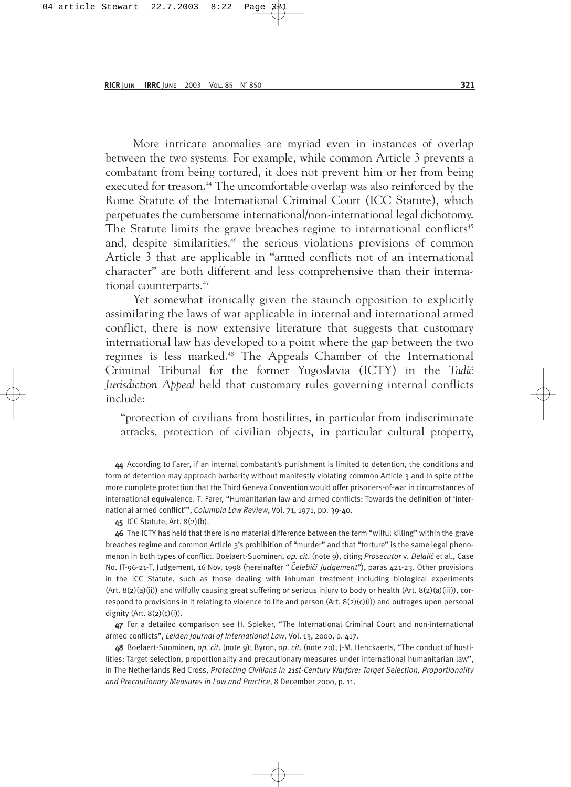More intricate anomalies are myriad even in instances of overlap between the two systems. For example, while common Article 3 prevents a combatant from being tortured, it does not prevent him or her from being executed for treason.<sup>44</sup> The uncomfortable overlap was also reinforced by the Rome Statute of the International Criminal Court (ICC Statute), which perpetuates the cumbersome international/non-international legal dichotomy. The Statute limits the grave breaches regime to international conflicts<sup>45</sup> and, despite similarities,<sup>46</sup> the serious violations provisions of common Article 3 that are applicable in "armed conflicts not of an international character" are both different and less comprehensive than their international counterparts.47

Yet somewhat ironically given the staunch opposition to explicitly assimilating the laws of war applicable in internal and international armed conflict, there is now extensive literature that suggests that customary international law has developed to a point where the gap between the two regimes is less marked.<sup>48</sup> The Appeals Chamber of the International Criminal Tribunal for the former Yugoslavia (ICTY) in the *Tadi´c Jurisdiction Appeal* held that customary rules governing internal conflicts include:

"protection of civilians from hostilities, in particular from indiscriminate attacks, protection of civilian objects, in particular cultural property,

44 According to Farer, if an internal combatant's punishment is limited to detention, the conditions and form of detention may approach barbarity without manifestly violating common Article 3 and in spite of the more complete protection that the Third Geneva Convention would offer prisoners-of-war in circumstances of international equivalence. T. Farer, "Humanitarian law and armed conflicts: Towards the definition of 'international armed conflict'", *Columbia Law Review*, Vol. 71, 1971, pp. 39-40.

45 ICC Statute, Art. 8(2)(b).

46 The ICTY has held that there is no material difference between the term "wilful killing" within the grave breaches regime and common Article 3's prohibition of "murder" and that "torture" is the same legal phenomenon in both types of conflict. Boelaert-Suominen, *op. cit*. (note 9), citing *Prosecutor* v*. Delali´c* et al., Case No. IT-96-21-T, Judgement, 16 Nov. 1998 (hereinafter " *Celebi´ ˇ ci Judgement*"), paras 421-23. Other provisions in the ICC Statute, such as those dealing with inhuman treatment including biological experiments (Art.  $8(2)(a)(ii)$ ) and wilfully causing great suffering or serious injury to body or health (Art.  $8(2)(a)(iii)$ ), correspond to provisions in it relating to violence to life and person (Art. 8(2)(c)(i)) and outrages upon personal dignity (Art.  $8(2)(c)(i)$ ).

47 For a detailed comparison see H. Spieker, "The International Criminal Court and non-international armed conflicts", *Leiden Journal of International Law*, Vol. 13, 2000, p. 417.

48 Boelaert-Suominen, *op. cit*. (note 9); Byron, *op. cit*. (note 20); J-M. Henckaerts, "The conduct of hostilities: Target selection, proportionality and precautionary measures under international humanitarian law", in The Netherlands Red Cross, *Protecting Civilians in 21st-Century Warfare: Target Selection, Proportionality and Precautionary Measures in Law and Practice*, 8 December 2000, p. 11.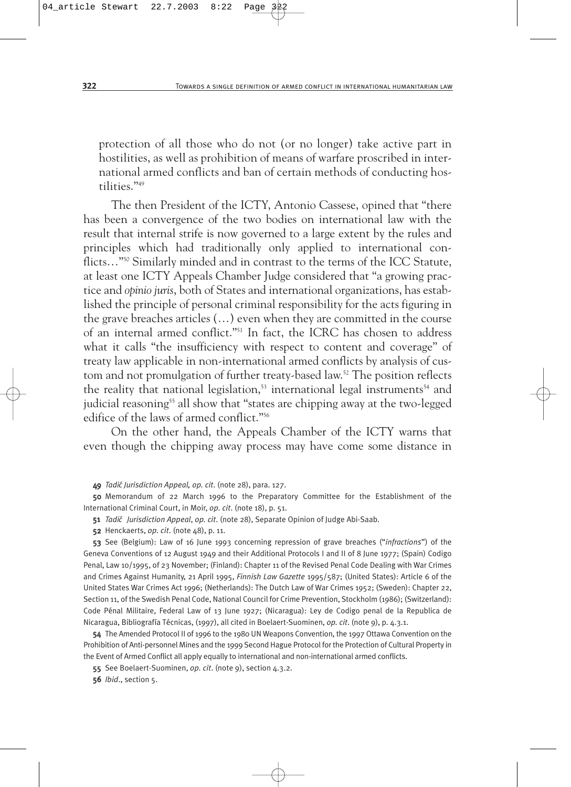protection of all those who do not (or no longer) take active part in hostilities, as well as prohibition of means of warfare proscribed in international armed conflicts and ban of certain methods of conducting hostilities."49

The then President of the ICTY, Antonio Cassese, opined that "there has been a convergence of the two bodies on international law with the result that internal strife is now governed to a large extent by the rules and principles which had traditionally only applied to international conflicts..."<sup>50</sup> Similarly minded and in contrast to the terms of the ICC Statute, at least one ICTY Appeals Chamber Judge considered that "a growing practice and *opinio juris*, both of States and international organizations, has established the principle of personal criminal responsibility for the acts figuring in the grave breaches articles (…) even when they are committed in the course of an internal armed conflict."51 In fact, the ICRC has chosen to address what it calls "the insufficiency with respect to content and coverage" of treaty law applicable in non-international armed conflicts by analysis of custom and not promulgation of further treaty-based law.<sup>52</sup> The position reflects the reality that national legislation,<sup>53</sup> international legal instruments<sup>54</sup> and judicial reasoning<sup>55</sup> all show that "states are chipping away at the two-legged edifice of the laws of armed conflict."56

On the other hand, the Appeals Chamber of the ICTY warns that even though the chipping away process may have come some distance in

49 *Tadi´c Jurisdiction Appeal, op. cit*. (note 28), para. 127.

50 Memorandum of 22 March 1996 to the Preparatory Committee for the Establishment of the International Criminal Court, in Moir, *op. cit*. (note 18), p. 51.

51 *Tadi´c Jurisdiction Appeal*, *op. cit*. (note 28), Separate Opinion of Judge Abi-Saab.

52 Henckaerts, *op. cit*. (note 48), p. 11.

53 See (Belgium): Law of 16 June 1993 concerning repression of grave breaches ("*infractions*") of the Geneva Conventions of 12 August 1949 and their Additional Protocols I and II of 8 June 1977; (Spain) Codigo Penal, Law 10/1995, of 23 November; (Finland): Chapter 11 of the Revised Penal Code Dealing with War Crimes and Crimes Against Humanity, 21 April 1995, *Finnish Law Gazette* 1995/587; (United States): Article 6 of the United States War Crimes Act 1996; (Netherlands): The Dutch Law of War Crimes 1952; (Sweden): Chapter 22, Section 11, of the Swedish Penal Code, National Council for Crime Prevention, Stockholm (1986); (Switzerland): Code Pénal Militaire, Federal Law of 13 June 1927; (Nicaragua): Ley de Codigo penal de la Republica de Nicaragua, Bibliografía Técnicas, (1997), all cited in Boelaert-Suominen, *op. cit*. (note 9), p. 4.3.1.

54 The Amended Protocol II of 1996 to the 1980 UN Weapons Convention, the 1997 Ottawa Convention on the Prohibition of Anti-personnel Mines and the 1999 Second Hague Protocol for the Protection of Cultural Property in the Event of Armed Conflict all apply equally to international and non-international armed conflicts.

55 See Boelaert-Suominen, *op. cit*. (note 9), section 4.3.2.

56 *Ibid*., section 5.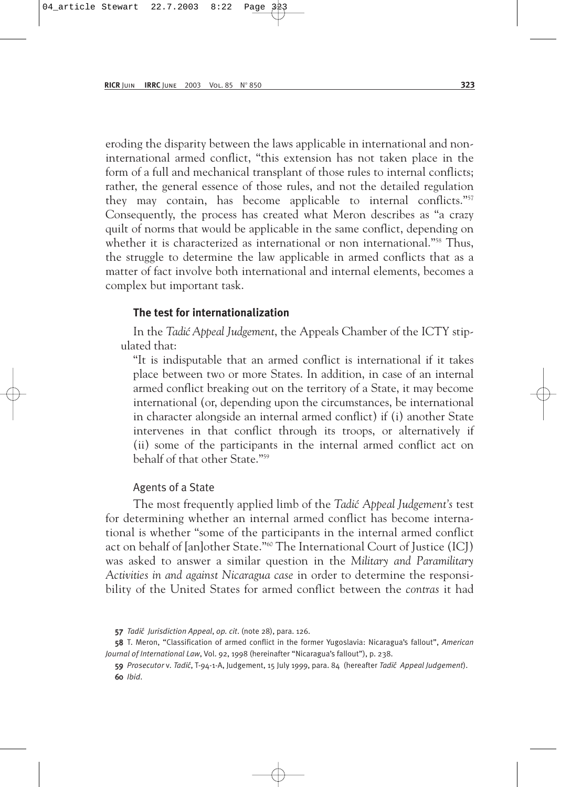eroding the disparity between the laws applicable in international and noninternational armed conflict, "this extension has not taken place in the form of a full and mechanical transplant of those rules to internal conflicts; rather, the general essence of those rules, and not the detailed regulation they may contain, has become applicable to internal conflicts."57 Consequently, the process has created what Meron describes as "a crazy quilt of norms that would be applicable in the same conflict, depending on whether it is characterized as international or non international."<sup>58</sup> Thus, the struggle to determine the law applicable in armed conflicts that as a matter of fact involve both international and internal elements, becomes a complex but important task.

#### **The test for internationalization**

In the *Tadi´c Appeal Judgement*, the Appeals Chamber of the ICTY stipulated that:

"It is indisputable that an armed conflict is international if it takes place between two or more States. In addition, in case of an internal armed conflict breaking out on the territory of a State, it may become international (or, depending upon the circumstances, be international in character alongside an internal armed conflict) if (i) another State intervenes in that conflict through its troops, or alternatively if (ii) some of the participants in the internal armed conflict act on behalf of that other State."59

#### Agents of a State

The most frequently applied limb of the *Tadić Appeal Judgement's* test for determining whether an internal armed conflict has become international is whether "some of the participants in the internal armed conflict act on behalf of [an]other State."60 The International Court of Justice (ICJ) was asked to answer a similar question in the *Military and Paramilitary Activities in and against Nicaragua case* in order to determine the responsibility of the United States for armed conflict between the *contras* it had

<sup>57</sup> *Tadi´c Jurisdiction Appeal*, *op. cit*. (note 28), para. 126.

<sup>58</sup> T. Meron, "Classification of armed conflict in the former Yugoslavia: Nicaragua's fallout", *American Journal of International Law*, Vol. 92, 1998 (hereinafter "Nicaragua's fallout"), p. 238.

<sup>59</sup> *Prosecutor* v*. Tadi´c*, T-94-1-A, Judgement, 15 July 1999, para. 84 (hereafter *Tadi´c Appeal Judgement*). 60 *Ibid*.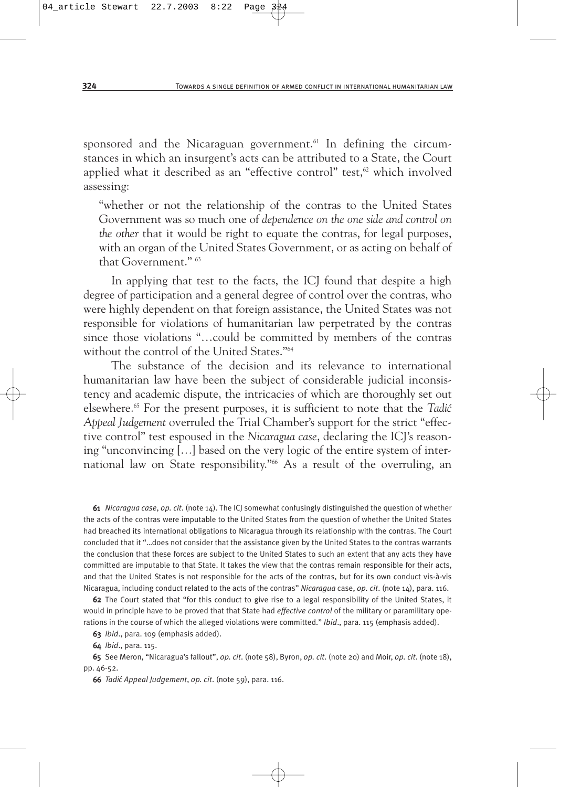sponsored and the Nicaraguan government.<sup>61</sup> In defining the circumstances in which an insurgent's acts can be attributed to a State, the Court applied what it described as an "effective control" test, $62$  which involved assessing:

"whether or not the relationship of the contras to the United States Government was so much one of *dependence on the one side and control on the other* that it would be right to equate the contras, for legal purposes, with an organ of the United States Government, or as acting on behalf of that Government." 63

In applying that test to the facts, the ICJ found that despite a high degree of participation and a general degree of control over the contras, who were highly dependent on that foreign assistance, the United States was not responsible for violations of humanitarian law perpetrated by the contras since those violations "…could be committed by members of the contras without the control of the United States."64

The substance of the decision and its relevance to international humanitarian law have been the subject of considerable judicial inconsistency and academic dispute, the intricacies of which are thoroughly set out elsewhere.<sup>65</sup> For the present purposes, it is sufficient to note that the *Tadić Appeal Judgement* overruled the Trial Chamber's support for the strict "effective control" test espoused in the *Nicaragua case*, declaring the ICJ's reasoning "unconvincing […] based on the very logic of the entire system of international law on State responsibility."<sup>66</sup> As a result of the overruling, an

61 *Nicaragua case*, *op. cit*. (note 14). The ICJ somewhat confusingly distinguished the question of whether the acts of the contras were imputable to the United States from the question of whether the United States had breached its international obligations to Nicaragua through its relationship with the contras. The Court concluded that it "…does not consider that the assistance given by the United States to the contras warrants the conclusion that these forces are subject to the United States to such an extent that any acts they have committed are imputable to that State. It takes the view that the contras remain responsible for their acts, and that the United States is not responsible for the acts of the contras, but for its own conduct vis-à-vis Nicaragua, including conduct related to the acts of the contras" *Nicaragua* case, *op. cit*. (note 14), para. 116.

62 The Court stated that "for this conduct to give rise to a legal responsibility of the United States, it would in principle have to be proved that that State had *effective control* of the military or paramilitary operations in the course of which the alleged violations were committed." *Ibid*., para. 115 (emphasis added).

63 *Ibid*., para. 109 (emphasis added).

64 *Ibid*., para. 115.

65 See Meron, "Nicaragua's fallout", *op. cit*. (note 58), Byron, *op. cit*. (note 20) and Moir, *op. cit*. (note 18), pp. 46-52.

66 *Tadi´c Appeal Judgement*, *op. cit*. (note 59), para. 116.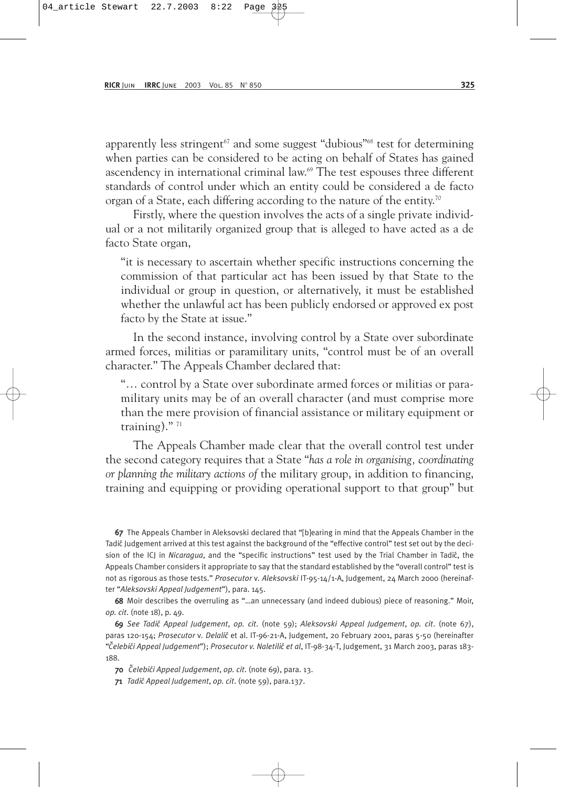apparently less stringent<sup> $67$ </sup> and some suggest "dubious"<sup>68</sup> test for determining when parties can be considered to be acting on behalf of States has gained ascendency in international criminal law.<sup>69</sup> The test espouses three different standards of control under which an entity could be considered a de facto organ of a State, each differing according to the nature of the entity.<sup>70</sup>

Firstly, where the question involves the acts of a single private individual or a not militarily organized group that is alleged to have acted as a de facto State organ,

"it is necessary to ascertain whether specific instructions concerning the commission of that particular act has been issued by that State to the individual or group in question, or alternatively, it must be established whether the unlawful act has been publicly endorsed or approved ex post facto by the State at issue."

In the second instance, involving control by a State over subordinate armed forces, militias or paramilitary units, "control must be of an overall character." The Appeals Chamber declared that:

"… control by a State over subordinate armed forces or militias or paramilitary units may be of an overall character (and must comprise more than the mere provision of financial assistance or military equipment or training)."<sup>71</sup>

The Appeals Chamber made clear that the overall control test under the second category requires that a State "*has a role in organising, coordinating or planning the military actions of* the military group, in addition to financing, training and equipping or providing operational support to that group" but

67 The Appeals Chamber in Aleksovski declared that "[b]earing in mind that the Appeals Chamber in the Tadić Judgement arrived at this test against the background of the "effective control" test set out by the decision of the ICJ in *Nicaragua*, and the "specific instructions" test used by the Trial Chamber in Tadić, the Appeals Chamber considers it appropriate to say that the standard established by the "overall control" test is not as rigorous as those tests." *Prosecutor* v*. Aleksovski* IT-95-14/1-A, Judgement, 24 March 2000 (hereinafter "*Aleksovski Appeal Judgement*"), para. 145.

68 Moir describes the overruling as "…an unnecessary (and indeed dubious) piece of reasoning." Moir, *op. cit*. (note 18), p. 49.

69 *See Tadi´c Appeal Judgement*, *op. cit*. (note 59); *Aleksovski Appeal Judgement*, *op. cit*. (note 67), paras 120-154; *Prosecutor* v*. Delali´c* et al. IT-96-21-A, Judgement, 20 February 2001, paras 5-50 (hereinafter "*Celebi´ ˇ ci Appeal Judgement*"); *Prosecutor v. Naletili´c et al*, IT-98-34-T, Judgement, 31 March 2003, paras 183- 188.

70 *Celebi´ ˇ ci Appeal Judgement*, *op. cit*. (note 69), para. 13.

71 *Tadi´c Appeal Judgement*, *op. cit*. (note 59), para.137.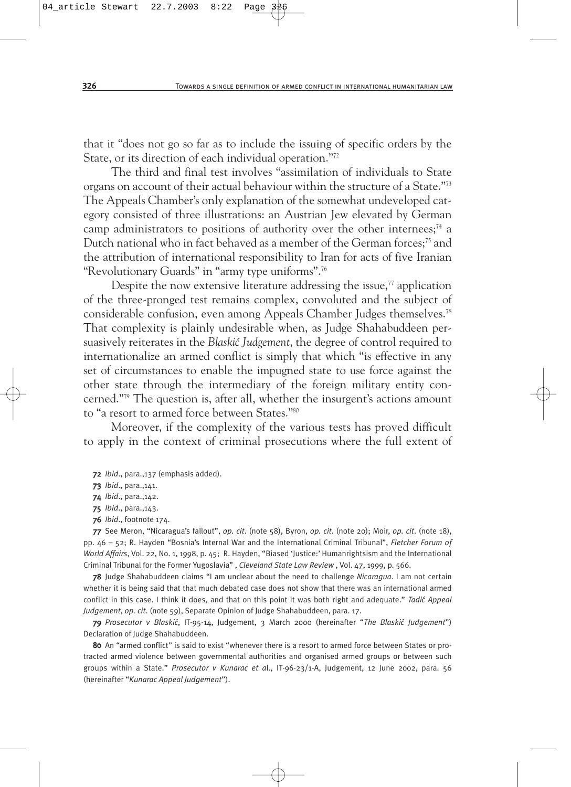that it "does not go so far as to include the issuing of specific orders by the State, or its direction of each individual operation."72

The third and final test involves "assimilation of individuals to State organs on account of their actual behaviour within the structure of a State."73 The Appeals Chamber's only explanation of the somewhat undeveloped category consisted of three illustrations: an Austrian Jew elevated by German camp administrators to positions of authority over the other internees;<sup>74</sup> a Dutch national who in fact behaved as a member of the German forces;<sup>75</sup> and the attribution of international responsibility to Iran for acts of five Iranian "Revolutionary Guards" in "army type uniforms".76

Despite the now extensive literature addressing the issue, $\eta$  application of the three-pronged test remains complex, convoluted and the subject of considerable confusion, even among Appeals Chamber Judges themselves.78 That complexity is plainly undesirable when, as Judge Shahabuddeen persuasively reiterates in the *Blaski´c Judgement*, the degree of control required to internationalize an armed conflict is simply that which "is effective in any set of circumstances to enable the impugned state to use force against the other state through the intermediary of the foreign military entity concerned."79 The question is, after all, whether the insurgent's actions amount to "a resort to armed force between States."80

Moreover, if the complexity of the various tests has proved difficult to apply in the context of criminal prosecutions where the full extent of

72 *Ibid*., para.,137 (emphasis added).

73 *Ibid*., para.,141.

74 *Ibid*., para.,142.

75 *Ibid*., para.,143.

76 *Ibid*., footnote 174.

77 See Meron, "Nicaragua's fallout", *op. cit*. (note 58), Byron, *op. cit*. (note 20); Moir, *op. cit*. (note 18), pp. 46 – 52; R. Hayden "Bosnia's Internal War and the International Criminal Tribunal", *Fletcher Forum of World Affairs*, Vol. 22, No. 1, 1998, p. 45; R. Hayden, "Biased 'Justice:' Humanrightsism and the International Criminal Tribunal for the Former Yugoslavia" , *Cleveland State Law Review* , Vol. 47, 1999, p. 566.

78 Judge Shahabuddeen claims "I am unclear about the need to challenge *Nicaragua*. I am not certain whether it is being said that that much debated case does not show that there was an international armed conflict in this case. I think it does, and that on this point it was both right and adequate." *Tadi´c Appeal Judgement*, *op. cit*. (note 59), Separate Opinion of Judge Shahabuddeen, para. 17.

79 *Prosecutor v Blaski´c*, IT-95-14, Judgement, 3 March 2000 (hereinafter "*The Blaski´c Judgement*") Declaration of Judge Shahabuddeen.

80 An "armed conflict" is said to exist "whenever there is a resort to armed force between States or protracted armed violence between governmental authorities and organised armed groups or between such groups within a State." *Prosecutor v Kunarac et a*l., IT-96-23/1-A, Judgement, 12 June 2002, para. 56 (hereinafter "*Kunarac Appeal Judgement*").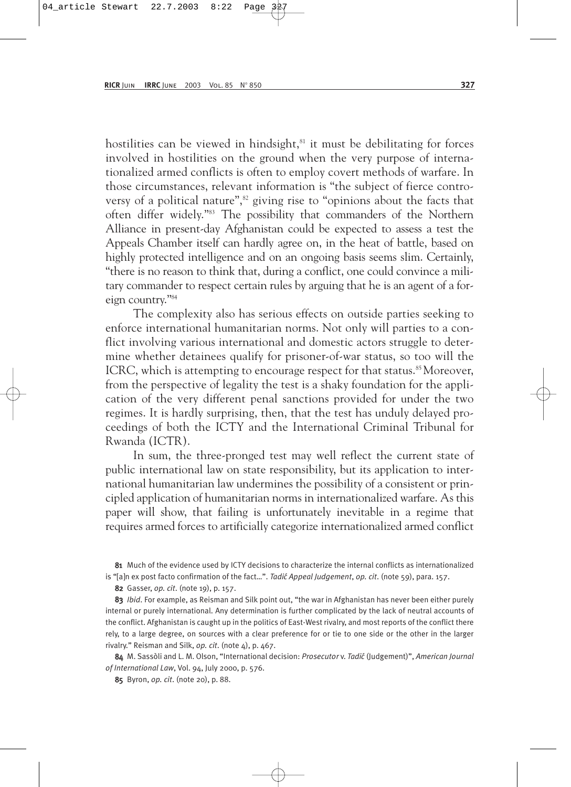hostilities can be viewed in hindsight, $81$  it must be debilitating for forces involved in hostilities on the ground when the very purpose of internationalized armed conflicts is often to employ covert methods of warfare. In those circumstances, relevant information is "the subject of fierce controversy of a political nature",<sup>82</sup> giving rise to "opinions about the facts that often differ widely."83 The possibility that commanders of the Northern Alliance in present-day Afghanistan could be expected to assess a test the Appeals Chamber itself can hardly agree on, in the heat of battle, based on highly protected intelligence and on an ongoing basis seems slim. Certainly, "there is no reason to think that, during a conflict, one could convince a military commander to respect certain rules by arguing that he is an agent of a foreign country."84

The complexity also has serious effects on outside parties seeking to enforce international humanitarian norms. Not only will parties to a conflict involving various international and domestic actors struggle to determine whether detainees qualify for prisoner-of-war status, so too will the ICRC, which is attempting to encourage respect for that status.<sup>85</sup> Moreover, from the perspective of legality the test is a shaky foundation for the application of the very different penal sanctions provided for under the two regimes. It is hardly surprising, then, that the test has unduly delayed proceedings of both the ICTY and the International Criminal Tribunal for Rwanda (ICTR).

In sum, the three-pronged test may well reflect the current state of public international law on state responsibility, but its application to international humanitarian law undermines the possibility of a consistent or principled application of humanitarian norms in internationalized warfare. As this paper will show, that failing is unfortunately inevitable in a regime that requires armed forces to artificially categorize internationalized armed conflict

81 Much of the evidence used by ICTY decisions to characterize the internal conflicts as internationalized is "[a]n ex post facto confirmation of the fact...". *Tadić Appeal Judgement*, *op. cit.* (note 59), para. 157.

82 Gasser, *op. cit*. (note 19), p. 157.

83 *Ibid*. For example, as Reisman and Silk point out, "the war in Afghanistan has never been either purely internal or purely international. Any determination is further complicated by the lack of neutral accounts of the conflict. Afghanistan is caught up in the politics of East-West rivalry, and most reports of the conflict there rely, to a large degree, on sources with a clear preference for or tie to one side or the other in the larger rivalry." Reisman and Silk, *op. cit*. (note 4), p. 467.

84 M. Sassòli and L. M. Olson, "International decision: *Prosecutor v. Tadić* (Judgement)", *American Journal of International Law*, Vol. 94, July 2000, p. 576.

85 Byron, *op. cit*. (note 20), p. 88.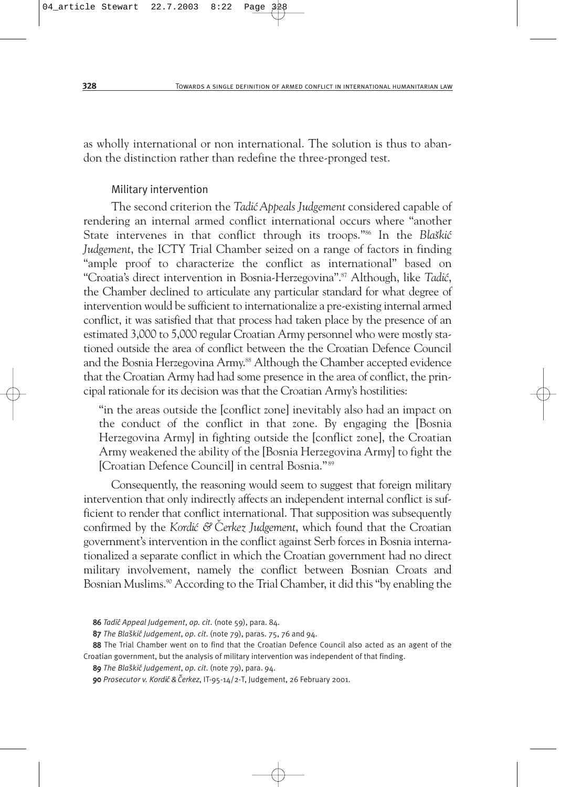as wholly international or non international. The solution is thus to abandon the distinction rather than redefine the three-pronged test.

## Military intervention

The second criterion the *Tadi´cAppeals Judgement* considered capable of rendering an internal armed conflict international occurs where "another State intervenes in that conflict through its troops."<sup>86</sup> In the *Bla*škić *Judgement*, the ICTY Trial Chamber seized on a range of factors in finding "ample proof to characterize the conflict as international" based on "Croatia's direct intervention in Bosnia-Herzegovina".<sup>87</sup> Although, like *Tadić*, the Chamber declined to articulate any particular standard for what degree of intervention would be sufficient to internationalize a pre-existing internal armed conflict, it was satisfied that that process had taken place by the presence of an estimated 3,000 to 5,000 regular Croatian Army personnel who were mostly stationed outside the area of conflict between the the Croatian Defence Council and the Bosnia Herzegovina Army.<sup>88</sup> Although the Chamber accepted evidence that the Croatian Army had had some presence in the area of conflict, the principal rationale for its decision was that the Croatian Army's hostilities:

"in the areas outside the [conflict zone] inevitably also had an impact on the conduct of the conflict in that zone. By engaging the [Bosnia Herzegovina Army] in fighting outside the [conflict zone], the Croatian Army weakened the ability of the [Bosnia Herzegovina Army] to fight the [Croatian Defence Council] in central Bosnia." <sup>89</sup>

Consequently, the reasoning would seem to suggest that foreign military intervention that only indirectly affects an independent internal conflict is sufficient to render that conflict international. That supposition was subsequently confirmed by the *Kordić & Cerkez Judgement*, which found that the Croatian government's intervention in the conflict against Serb forces in Bosnia internationalized a separate conflict in which the Croatian government had no direct military involvement, namely the conflict between Bosnian Croats and Bosnian Muslims.<sup>90</sup> According to the Trial Chamber, it did this "by enabling the

<sup>86</sup> *Tadi´c Appeal Judgement*, *op. cit*. (note 59), para. 84.

<sup>87</sup> The Blaškić Judgement, op. cit. (note 79), paras. 75, 76 and 94.

<sup>88</sup> The Trial Chamber went on to find that the Croatian Defence Council also acted as an agent of the Croatian government, but the analysis of military intervention was independent of that finding.

<sup>89</sup> *The Bla˘ski´c Judgement*, *op. cit*. (note 79), para. 94.

<sup>90</sup> *Prosecutor v. Kordi´c & Cerkez ˇ* , IT-95-14/2-T, Judgement, 26 February 2001.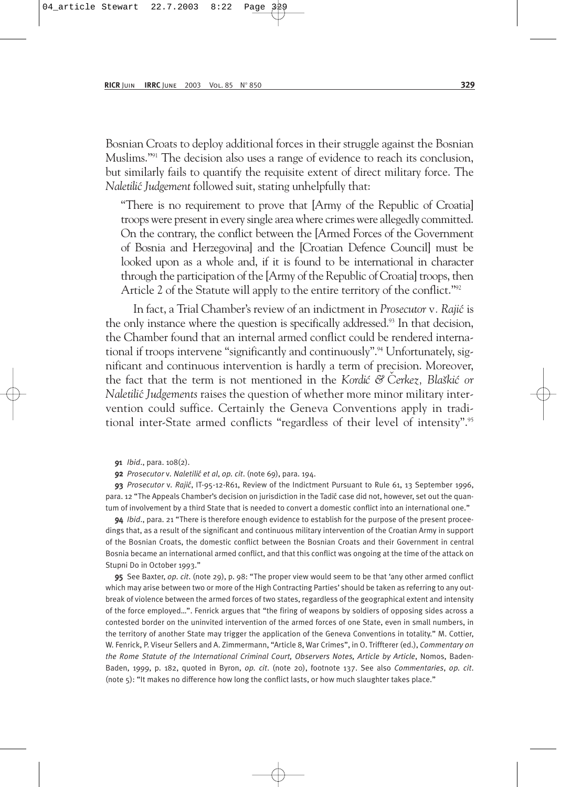Bosnian Croats to deploy additional forces in their struggle against the Bosnian Muslims."91 The decision also uses a range of evidence to reach its conclusion, but similarly fails to quantify the requisite extent of direct military force. The *Naletili´c Judgement* followed suit, stating unhelpfully that:

"There is no requirement to prove that [Army of the Republic of Croatia] troops were present in every single area where crimes were allegedly committed. On the contrary, the conflict between the [Armed Forces of the Government of Bosnia and Herzegovina] and the [Croatian Defence Council] must be looked upon as a whole and, if it is found to be international in character through the participation of the [Army of the Republic of Croatia] troops, then Article 2 of the Statute will apply to the entire territory of the conflict."<sup>92</sup>

In fact, a Trial Chamber's review of an indictment in *Prosecutor v. Rajić* is the only instance where the question is specifically addressed.<sup>93</sup> In that decision, the Chamber found that an internal armed conflict could be rendered international if troops intervene "significantly and continuously".94 Unfortunately, significant and continuous intervention is hardly a term of precision. Moreover, the fact that the term is not mentioned in the *Kordić & Cerkez*, *Blaškić or Naletili´c Judgements* raises the question of whether more minor military intervention could suffice. Certainly the Geneva Conventions apply in traditional inter-State armed conflicts "regardless of their level of intensity".95

- 91 *Ibid*., para. 108(2).
- 92 *Prosecutor* v*. Naletili´c et al*, *op. cit*. (note 69), para. 194.

93 *Prosecutor* v*. Raji´c*, IT-95-12-R61, Review of the Indictment Pursuant to Rule 61, 13 September 1996, para. 12 "The Appeals Chamber's decision on jurisdiction in the Tadić case did not, however, set out the quantum of involvement by a third State that is needed to convert a domestic conflict into an international one."

94 *Ibid*., para. 21 "There is therefore enough evidence to establish for the purpose of the present proceedings that, as a result of the significant and continuous military intervention of the Croatian Army in support of the Bosnian Croats, the domestic conflict between the Bosnian Croats and their Government in central Bosnia became an international armed conflict, and that this conflict was ongoing at the time of the attack on Stupni Do in October 1993."

95 See Baxter, *op. cit*. (note 29), p. 98: "The proper view would seem to be that 'any other armed conflict which may arise between two or more of the High Contracting Parties' should be taken as referring to any outbreak of violence between the armed forces of two states, regardless of the geographical extent and intensity of the force employed…". Fenrick argues that "the firing of weapons by soldiers of opposing sides across a contested border on the uninvited intervention of the armed forces of one State, even in small numbers, in the territory of another State may trigger the application of the Geneva Conventions in totality." M. Cottier, W. Fenrick, P. Viseur Sellers and A. Zimmermann, "Article 8, War Crimes", in O. Triffterer (ed.), *Commentary on the Rome Statute of the International Criminal Court, Observers Notes, Article by Article*, Nomos, Baden-Baden, 1999, p. 182, quoted in Byron, *op. cit*. (note 20), footnote 137. See also *Commentaries*, *op. cit*. (note 5): "It makes no difference how long the conflict lasts, or how much slaughter takes place."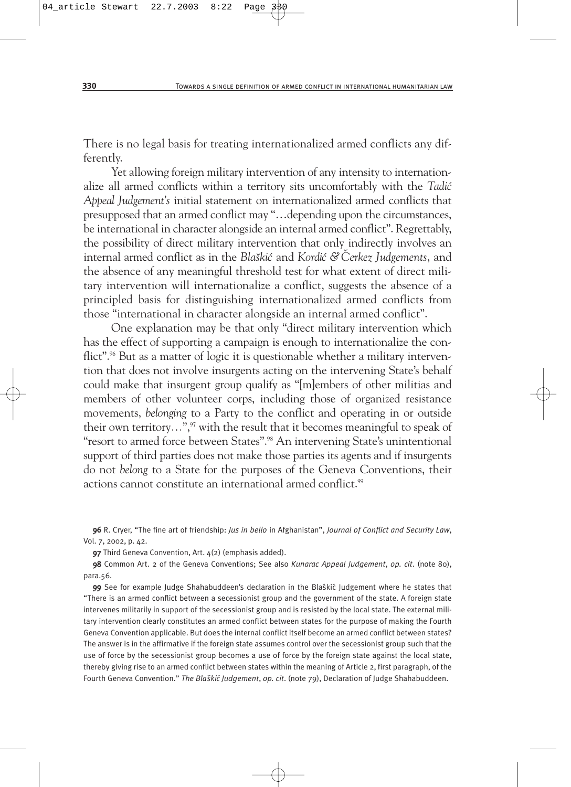There is no legal basis for treating internationalized armed conflicts any differently.

Yet allowing foreign military intervention of any intensity to internationalize all armed conflicts within a territory sits uncomfortably with the *Tadić Appeal Judgement's* initial statement on internationalized armed conflicts that presupposed that an armed conflict may "…depending upon the circumstances, be international in character alongside an internal armed conflict". Regrettably, the possibility of direct military intervention that only indirectly involves an internal armed conflict as in the *Blaškić* and *Kordić & Cerkez Judgements*, and the absence of any meaningful threshold test for what extent of direct military intervention will internationalize a conflict, suggests the absence of a principled basis for distinguishing internationalized armed conflicts from those "international in character alongside an internal armed conflict".

One explanation may be that only "direct military intervention which has the effect of supporting a campaign is enough to internationalize the conflict".<sup>96</sup> But as a matter of logic it is questionable whether a military intervention that does not involve insurgents acting on the intervening State's behalf could make that insurgent group qualify as "[m]embers of other militias and members of other volunteer corps, including those of organized resistance movements, *belonging* to a Party to the conflict and operating in or outside their own territory...", $\frac{97}{7}$  with the result that it becomes meaningful to speak of "resort to armed force between States".98 An intervening State's unintentional support of third parties does not make those parties its agents and if insurgents do not *belong* to a State for the purposes of the Geneva Conventions, their actions cannot constitute an international armed conflict.<sup>99</sup>

96 R. Cryer, "The fine art of friendship: *Jus in bello* in Afghanistan", *Journal of Conflict and Security Law*, Vol. 7, 2002, p. 42.

97 Third Geneva Convention, Art. 4(2) (emphasis added).

98 Common Art. 2 of the Geneva Conventions; See also *Kunarac Appeal Judgement*, *op. cit*. (note 80), para.56.

99 See for example Judge Shahabuddeen's declaration in the Blaskic Judgement where he states that "There is an armed conflict between a secessionist group and the government of the state. A foreign state intervenes militarily in support of the secessionist group and is resisted by the local state. The external military intervention clearly constitutes an armed conflict between states for the purpose of making the Fourth Geneva Convention applicable. But does the internal conflict itself become an armed conflict between states? The answer is in the affirmative if the foreign state assumes control over the secessionist group such that the use of force by the secessionist group becomes a use of force by the foreign state against the local state, thereby giving rise to an armed conflict between states within the meaning of Article 2, first paragraph, of the Fourth Geneva Convention." *The Bla˘ski´c Judgement*, *op. cit*. (note 79), Declaration of Judge Shahabuddeen.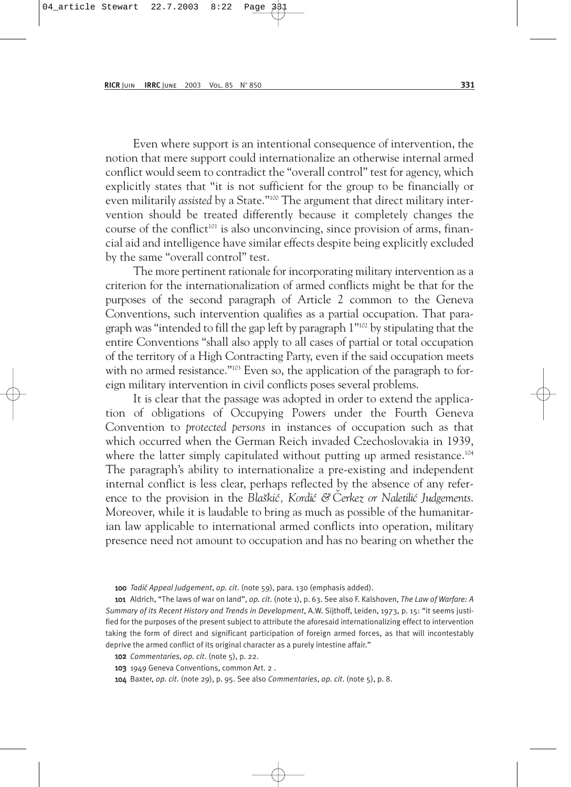Even where support is an intentional consequence of intervention, the notion that mere support could internationalize an otherwise internal armed conflict would seem to contradict the "overall control" test for agency, which explicitly states that "it is not sufficient for the group to be financially or even militarily *assisted* by a State."<sup>100</sup> The argument that direct military intervention should be treated differently because it completely changes the course of the conflict<sup>101</sup> is also unconvincing, since provision of arms, financial aid and intelligence have similar effects despite being explicitly excluded by the same "overall control" test.

The more pertinent rationale for incorporating military intervention as a criterion for the internationalization of armed conflicts might be that for the purposes of the second paragraph of Article 2 common to the Geneva Conventions, such intervention qualifies as a partial occupation. That paragraph was "intended to fill the gap left by paragraph 1"102 by stipulating that the entire Conventions "shall also apply to all cases of partial or total occupation of the territory of a High Contracting Party, even if the said occupation meets with no armed resistance."<sup>103</sup> Even so, the application of the paragraph to foreign military intervention in civil conflicts poses several problems.

It is clear that the passage was adopted in order to extend the application of obligations of Occupying Powers under the Fourth Geneva Convention to *protected persons* in instances of occupation such as that which occurred when the German Reich invaded Czechoslovakia in 1939, where the latter simply capitulated without putting up armed resistance.<sup>104</sup> The paragraph's ability to internationalize a pre-existing and independent internal conflict is less clear, perhaps reflected by the absence of any reference to the provision in the *Blaškić*, *Kordić &* Čerkez or *Naletilić Judgements*. Moreover, while it is laudable to bring as much as possible of the humanitarian law applicable to international armed conflicts into operation, military presence need not amount to occupation and has no bearing on whether the

101 Aldrich, "The laws of war on land", *op. cit*. (note 1), p. 63. See also F. Kalshoven, *The Law of Warfare: A Summary of its Recent History and Trends in Development*, A.W. Sijthoff, Leiden, 1973, p. 15: "it seems justified for the purposes of the present subject to attribute the aforesaid internationalizing effect to intervention taking the form of direct and significant participation of foreign armed forces, as that will incontestably deprive the armed conflict of its original character as a purely intestine affair."

- 102 *Commentaries*, *op. cit*. (note 5), p. 22.
- 103 1949 Geneva Conventions, common Art. 2 .
- 104 Baxter, *op. cit*. (note 29), p. 95. See also *Commentaries*, *op. cit*. (note 5), p. 8.

<sup>100</sup> *Tadi´c Appeal Judgement*, *op. cit*. (note 59), para. 130 (emphasis added).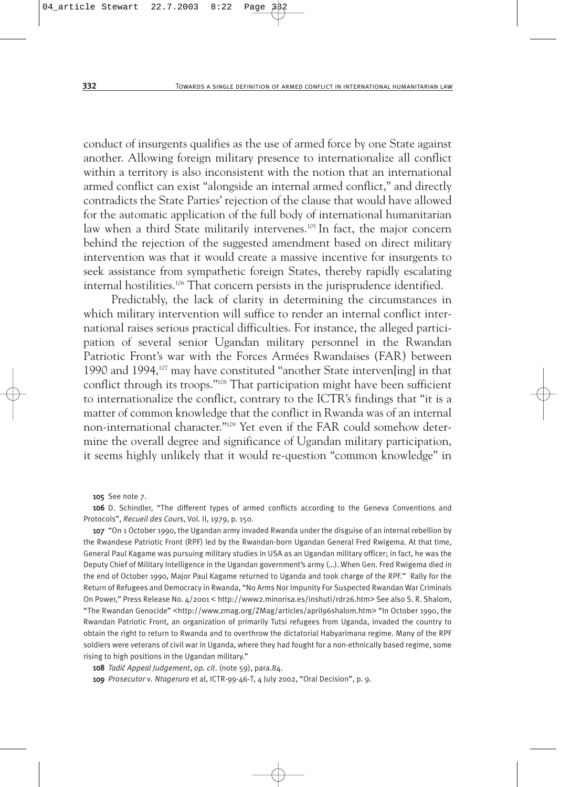conduct of insurgents qualifies as the use of armed force by one State against another. Allowing foreign military presence to internationalize all conflict within a territory is also inconsistent with the notion that an international armed conflict can exist "alongside an internal armed conflict," and directly contradicts the State Parties' rejection of the clause that would have allowed for the automatic application of the full body of international humanitarian law when a third State militarily intervenes.<sup>105</sup> In fact, the major concern behind the rejection of the suggested amendment based on direct military intervention was that it would create a massive incentive for insurgents to seek assistance from sympathetic foreign States, thereby rapidly escalating internal hostilities.106 That concern persists in the jurisprudence identified.

Predictably, the lack of clarity in determining the circumstances in which military intervention will suffice to render an internal conflict international raises serious practical difficulties. For instance, the alleged participation of several senior Ugandan military personnel in the Rwandan Patriotic Front's war with the Forces Armées Rwandaises (FAR) between 1990 and 1994,107 may have constituted "another State interven[ing] in that conflict through its troops."108 That participation might have been sufficient to internationalize the conflict, contrary to the ICTR's findings that "it is a matter of common knowledge that the conflict in Rwanda was of an internal non-international character."109 Yet even if the FAR could somehow determine the overall degree and significance of Ugandan military participation, it seems highly unlikely that it would re-question "common knowledge" in

105 See note 7.

106 D. Schindler, "The different types of armed conflicts according to the Geneva Conventions and Protocols", *Recueil des Cours*, Vol. II, 1979, p. 150.

107 "On 1 October 1990, the Ugandan army invaded Rwanda under the disguise of an internal rebellion by the Rwandese Patriotic Front (RPF) led by the Rwandan-born Ugandan General Fred Rwigema. At that time, General Paul Kagame was pursuing military studies in USA as an Ugandan military officer; in fact, he was the Deputy Chief of Military Intelligence in the Ugandan government's army (…). When Gen. Fred Rwigema died in the end of October 1990, Major Paul Kagame returned to Uganda and took charge of the RPF." Rally for the Return of Refugees and Democracy in Rwanda, "No Arms Nor Impunity For Suspected Rwandan War Criminals On Power," Press Release No. 4/2001 < http://www2.minorisa.es/inshuti/rdr26.htm> See also S. R. Shalom, "The Rwandan Genocide" <http://www.zmag.org/ZMag/articles/april96shalom.htm> "In October 1990, the Rwandan Patriotic Front, an organization of primarily Tutsi refugees from Uganda, invaded the country to obtain the right to return to Rwanda and to overthrow the dictatorial Habyarimana regime. Many of the RPF soldiers were veterans of civil war in Uganda, where they had fought for a non-ethnically based regime, some rising to high positions in the Ugandan military."

108 *Tadi´c Appeal Judgement*, *op. cit*. (note 59), para.84.

109 *Prosecutor* v*. Ntagerura* et al, ICTR-99-46-T, 4 July 2002, "Oral Decision", p. 9.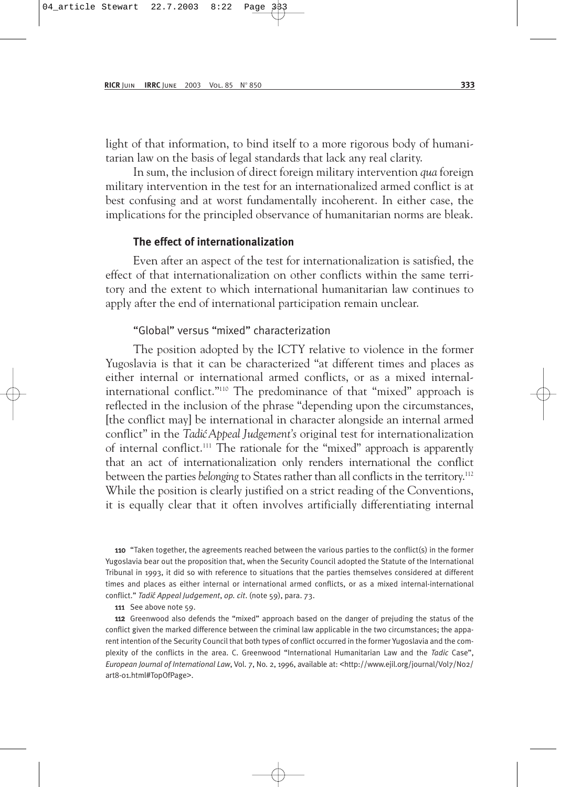light of that information, to bind itself to a more rigorous body of humanitarian law on the basis of legal standards that lack any real clarity.

In sum, the inclusion of direct foreign military intervention *qua* foreign military intervention in the test for an internationalized armed conflict is at best confusing and at worst fundamentally incoherent. In either case, the implications for the principled observance of humanitarian norms are bleak.

#### **The effect of internationalization**

Even after an aspect of the test for internationalization is satisfied, the effect of that internationalization on other conflicts within the same territory and the extent to which international humanitarian law continues to apply after the end of international participation remain unclear.

#### "Global" versus "mixed" characterization

The position adopted by the ICTY relative to violence in the former Yugoslavia is that it can be characterized "at different times and places as either internal or international armed conflicts, or as a mixed internalinternational conflict."110 The predominance of that "mixed" approach is reflected in the inclusion of the phrase "depending upon the circumstances, [the conflict may] be international in character alongside an internal armed conflict" in the *Tadi´c Appeal Judgement's* original test for internationalization of internal conflict.111 The rationale for the "mixed" approach is apparently that an act of internationalization only renders international the conflict between the parties *belonging* to States rather than all conflicts in the territory.<sup>112</sup> While the position is clearly justified on a strict reading of the Conventions, it is equally clear that it often involves artificially differentiating internal

110 "Taken together, the agreements reached between the various parties to the conflict(s) in the former Yugoslavia bear out the proposition that, when the Security Council adopted the Statute of the International Tribunal in 1993, it did so with reference to situations that the parties themselves considered at different times and places as either internal or international armed conflicts, or as a mixed internal-international conflict." *Tadi´c Appeal Judgement*, *op. cit*. (note 59), para. 73.

111 See above note 59.

112 Greenwood also defends the "mixed" approach based on the danger of prejuding the status of the conflict given the marked difference between the criminal law applicable in the two circumstances; the apparent intention of the Security Council that both types of conflict occurred in the former Yugoslavia and the complexity of the conflicts in the area. C. Greenwood "International Humanitarian Law and the *Tadic* Case", *European Journal of International Law*, Vol. 7, No. 2, 1996, available at: <http://www.ejil.org/journal/Vol7/No2/ art8-01.html#TopOfPage>.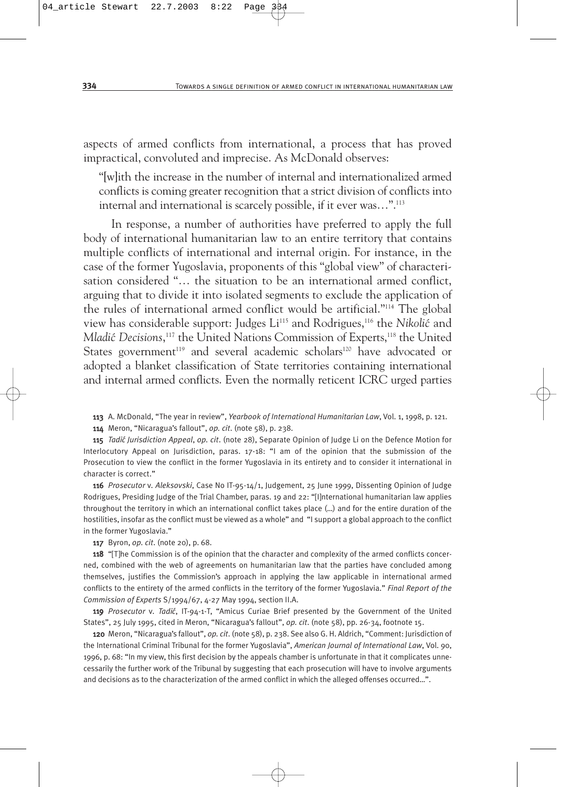aspects of armed conflicts from international, a process that has proved impractical, convoluted and imprecise. As McDonald observes:

"[w]ith the increase in the number of internal and internationalized armed conflicts is coming greater recognition that a strict division of conflicts into internal and international is scarcely possible, if it ever was…".113

In response, a number of authorities have preferred to apply the full body of international humanitarian law to an entire territory that contains multiple conflicts of international and internal origin. For instance, in the case of the former Yugoslavia, proponents of this "global view" of characterisation considered "… the situation to be an international armed conflict, arguing that to divide it into isolated segments to exclude the application of the rules of international armed conflict would be artificial."114 The global view has considerable support: Judges Li<sup>115</sup> and Rodrigues,<sup>116</sup> the *Nikolić* and Ml*adić Decisions*,<sup>117</sup> the United Nations Commission of Experts,<sup>118</sup> the United States government<sup>119</sup> and several academic scholars<sup>120</sup> have advocated or adopted a blanket classification of State territories containing international and internal armed conflicts. Even the normally reticent ICRC urged parties

113 A. McDonald, "The year in review", *Yearbook of International Humanitarian Law*, Vol. 1, 1998, p. 121.

114 Meron, "Nicaragua's fallout", *op. cit*. (note 58), p. 238.

115 *Tadi´c Jurisdiction Appeal*, *op. cit*. (note 28), Separate Opinion of Judge Li on the Defence Motion for Interlocutory Appeal on Jurisdiction, paras. 17-18: "I am of the opinion that the submission of the Prosecution to view the conflict in the former Yugoslavia in its entirety and to consider it international in character is correct."

116 *Prosecutor* v*. Aleksovski*, Case No IT-95-14/1, Judgement, 25 June 1999, Dissenting Opinion of Judge Rodrigues, Presiding Judge of the Trial Chamber, paras. 19 and 22: "[I]nternational humanitarian law applies throughout the territory in which an international conflict takes place (…) and for the entire duration of the hostilities, insofar as the conflict must be viewed as a whole" and "I support a global approach to the conflict in the former Yugoslavia."

117 Byron, *op. cit*. (note 20), p. 68.

118 "[T]he Commission is of the opinion that the character and complexity of the armed conflicts concerned, combined with the web of agreements on humanitarian law that the parties have concluded among themselves, justifies the Commission's approach in applying the law applicable in international armed conflicts to the entirety of the armed conflicts in the territory of the former Yugoslavia." *Final Report of the Commission of Experts* S/1994/67, 4-27 May 1994, section II.A.

119 *Prosecutor* v*. Tadi´c*, IT-94-1-T, "Amicus Curiae Brief presented by the Government of the United States", 25 July 1995, cited in Meron, "Nicaragua's fallout", *op. cit*. (note 58), pp. 26-34, footnote 15.

120 Meron, "Nicaragua's fallout", *op. cit*. (note 58), p. 238. See also G. H. Aldrich, "Comment: Jurisdiction of the International Criminal Tribunal for the former Yugoslavia", *American Journal of International Law*, Vol. 90, 1996, p. 68: "In my view, this first decision by the appeals chamber is unfortunate in that it complicates unnecessarily the further work of the Tribunal by suggesting that each prosecution will have to involve arguments and decisions as to the characterization of the armed conflict in which the alleged offenses occurred…".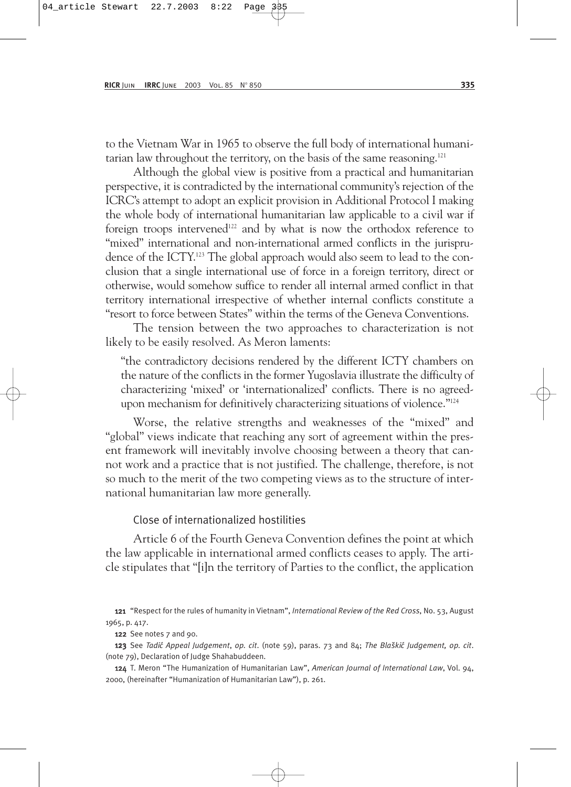to the Vietnam War in 1965 to observe the full body of international humanitarian law throughout the territory, on the basis of the same reasoning.<sup>121</sup>

Although the global view is positive from a practical and humanitarian perspective, it is contradicted by the international community's rejection of the ICRC's attempt to adopt an explicit provision in Additional Protocol I making the whole body of international humanitarian law applicable to a civil war if foreign troops intervened<sup>122</sup> and by what is now the orthodox reference to "mixed" international and non-international armed conflicts in the jurisprudence of the ICTY.<sup>123</sup> The global approach would also seem to lead to the conclusion that a single international use of force in a foreign territory, direct or otherwise, would somehow suffice to render all internal armed conflict in that territory international irrespective of whether internal conflicts constitute a "resort to force between States" within the terms of the Geneva Conventions.

The tension between the two approaches to characterization is not likely to be easily resolved. As Meron laments:

"the contradictory decisions rendered by the different ICTY chambers on the nature of the conflicts in the former Yugoslavia illustrate the difficulty of characterizing 'mixed' or 'internationalized' conflicts. There is no agreedupon mechanism for definitively characterizing situations of violence."<sup>124</sup>

Worse, the relative strengths and weaknesses of the "mixed" and "global" views indicate that reaching any sort of agreement within the present framework will inevitably involve choosing between a theory that cannot work and a practice that is not justified. The challenge, therefore, is not so much to the merit of the two competing views as to the structure of international humanitarian law more generally.

#### Close of internationalized hostilities

Article 6 of the Fourth Geneva Convention defines the point at which the law applicable in international armed conflicts ceases to apply. The article stipulates that "[i]n the territory of Parties to the conflict, the application

121 "Respect for the rules of humanity in Vietnam", *International Review of the Red Cross*, No. 53, August 1965, p. 417.

122 See notes 7 and 90.

123 See *Tadi´c Appeal Judgement*, *op. cit*. (note 59), paras. 73 and 84; *The Bla˘ski´c Judgement, op. cit*. (note 79), Declaration of Judge Shahabuddeen.

124 T. Meron "The Humanization of Humanitarian Law", *American Journal of International Law*, Vol. 94, 2000, (hereinafter "Humanization of Humanitarian Law"), p. 261.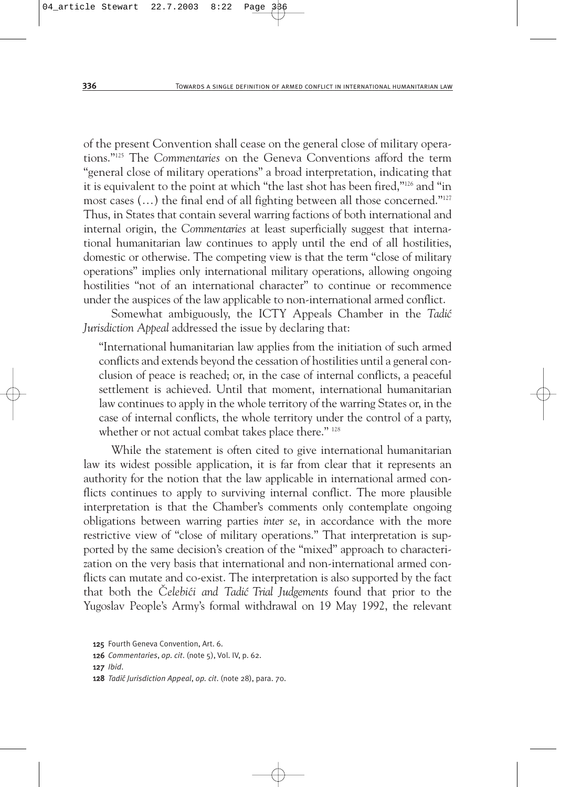of the present Convention shall cease on the general close of military operations."125 The *Commentaries* on the Geneva Conventions afford the term "general close of military operations" a broad interpretation, indicating that it is equivalent to the point at which "the last shot has been fired,"126 and "in most cases (…) the final end of all fighting between all those concerned."127 Thus, in States that contain several warring factions of both international and internal origin, the *Commentaries* at least superficially suggest that international humanitarian law continues to apply until the end of all hostilities, domestic or otherwise. The competing view is that the term "close of military operations" implies only international military operations, allowing ongoing hostilities "not of an international character" to continue or recommence under the auspices of the law applicable to non-international armed conflict.

Somewhat ambiguously, the ICTY Appeals Chamber in the *Tadić Jurisdiction Appeal* addressed the issue by declaring that:

"International humanitarian law applies from the initiation of such armed conflicts and extends beyond the cessation of hostilities until a general conclusion of peace is reached; or, in the case of internal conflicts, a peaceful settlement is achieved. Until that moment, international humanitarian law continues to apply in the whole territory of the warring States or, in the case of internal conflicts, the whole territory under the control of a party, whether or not actual combat takes place there." 128

While the statement is often cited to give international humanitarian law its widest possible application, it is far from clear that it represents an authority for the notion that the law applicable in international armed conflicts continues to apply to surviving internal conflict. The more plausible interpretation is that the Chamber's comments only contemplate ongoing obligations between warring parties *inter se*, in accordance with the more restrictive view of "close of military operations." That interpretation is supported by the same decision's creation of the "mixed" approach to characterization on the very basis that international and non-international armed conflicts can mutate and co-exist. The interpretation is also supported by the fact that both the *Celebići and Tadić Trial Judgements* found that prior to the Yugoslav People's Army's formal withdrawal on 19 May 1992, the relevant

127 *Ibid*.

<sup>125</sup> Fourth Geneva Convention, Art. 6.

<sup>126</sup> *Commentaries*, *op. cit*. (note 5), Vol. IV, p. 62.

<sup>128</sup> *Tadi´c Jurisdiction Appeal*, *op. cit*. (note 28), para. 70.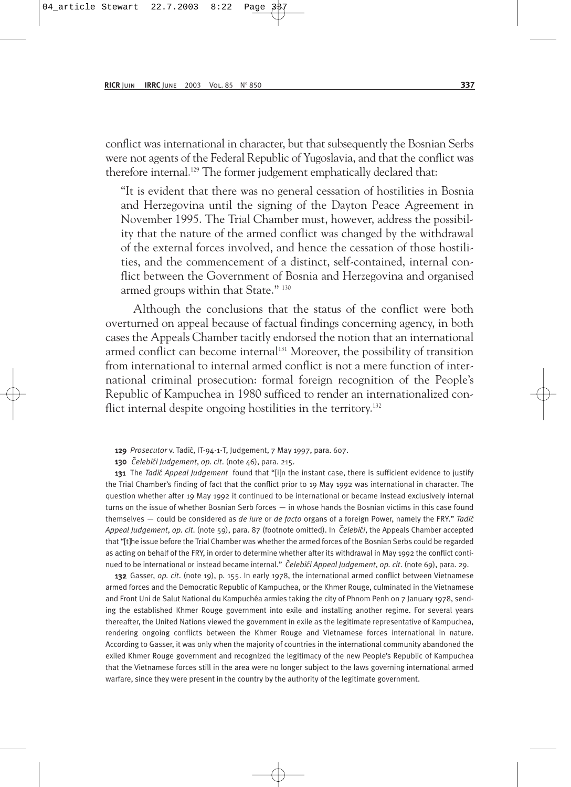conflict was international in character, but that subsequently the Bosnian Serbs were not agents of the Federal Republic of Yugoslavia, and that the conflict was therefore internal.<sup>129</sup> The former judgement emphatically declared that:

"It is evident that there was no general cessation of hostilities in Bosnia and Herzegovina until the signing of the Dayton Peace Agreement in November 1995. The Trial Chamber must, however, address the possibility that the nature of the armed conflict was changed by the withdrawal of the external forces involved, and hence the cessation of those hostilities, and the commencement of a distinct, self-contained, internal conflict between the Government of Bosnia and Herzegovina and organised armed groups within that State." 130

Although the conclusions that the status of the conflict were both overturned on appeal because of factual findings concerning agency, in both cases the Appeals Chamber tacitly endorsed the notion that an international armed conflict can become internal<sup>131</sup> Moreover, the possibility of transition from international to internal armed conflict is not a mere function of international criminal prosecution: formal foreign recognition of the People's Republic of Kampuchea in 1980 sufficed to render an internationalized conflict internal despite ongoing hostilities in the territory.<sup>132</sup>

129 *Prosecutor* v. Tadi´c, IT-94-1-T, Judgement, 7 May 1997, para. 607.

130 *Celebi´ ˇ ci Judgement*, *op. cit*. (note 46), para. 215.

131 The *Tadi´c Appeal Judgement* found that "[i]n the instant case, there is sufficient evidence to justify the Trial Chamber's finding of fact that the conflict prior to 19 May 1992 was international in character. The question whether after 19 May 1992 it continued to be international or became instead exclusively internal turns on the issue of whether Bosnian Serb forces — in whose hands the Bosnian victims in this case found themselves — could be considered as *de iure* or *de facto* organs of a foreign Power, namely the FRY." *Tadi´c Appeal Judgement*, *op. cit*. (note 59), para. 87 (footnote omitted). In *Celebi´ ˇ ci*, the Appeals Chamber accepted that "[t]he issue before the Trial Chamber was whether the armed forces of the Bosnian Serbs could be regarded as acting on behalf of the FRY, in order to determine whether after its withdrawal in May 1992 the conflict continued to be international or instead became internal." *Čelebići Appeal Judgement*, op. cit. (note 69), para. 29.

132 Gasser, *op. cit*. (note 19), p. 155. In early 1978, the international armed conflict between Vietnamese armed forces and the Democratic Republic of Kampuchea, or the Khmer Rouge, culminated in the Vietnamese and Front Uni de Salut National du Kampuchéa armies taking the city of Phnom Penh on 7 January 1978, sending the established Khmer Rouge government into exile and installing another regime. For several years thereafter, the United Nations viewed the government in exile as the legitimate representative of Kampuchea, rendering ongoing conflicts between the Khmer Rouge and Vietnamese forces international in nature. According to Gasser, it was only when the majority of countries in the international community abandoned the exiled Khmer Rouge government and recognized the legitimacy of the new People's Republic of Kampuchea that the Vietnamese forces still in the area were no longer subject to the laws governing international armed warfare, since they were present in the country by the authority of the legitimate government.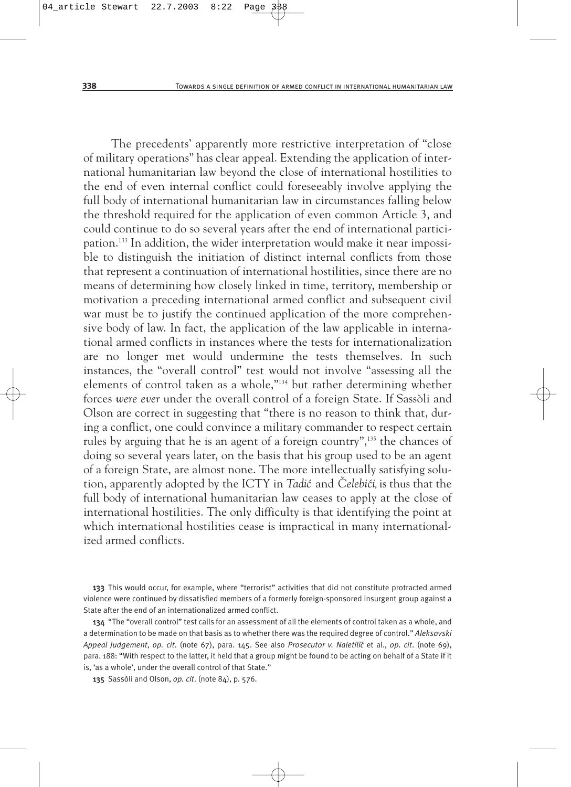The precedents' apparently more restrictive interpretation of "close of military operations" has clear appeal. Extending the application of international humanitarian law beyond the close of international hostilities to the end of even internal conflict could foreseeably involve applying the full body of international humanitarian law in circumstances falling below the threshold required for the application of even common Article 3, and could continue to do so several years after the end of international participation.133 In addition, the wider interpretation would make it near impossible to distinguish the initiation of distinct internal conflicts from those that represent a continuation of international hostilities, since there are no means of determining how closely linked in time, territory, membership or motivation a preceding international armed conflict and subsequent civil war must be to justify the continued application of the more comprehensive body of law. In fact, the application of the law applicable in international armed conflicts in instances where the tests for internationalization are no longer met would undermine the tests themselves. In such instances, the "overall control" test would not involve "assessing all the elements of control taken as a whole,"134 but rather determining whether forces *were ever* under the overall control of a foreign State. If Sassòli and Olson are correct in suggesting that "there is no reason to think that, during a conflict, one could convince a military commander to respect certain rules by arguing that he is an agent of a foreign country",135 the chances of doing so several years later, on the basis that his group used to be an agent of a foreign State, are almost none. The more intellectually satisfying solution, apparently adopted by the ICTY in *Tadić* and *Čelebići*, is thus that the full body of international humanitarian law ceases to apply at the close of international hostilities. The only difficulty is that identifying the point at which international hostilities cease is impractical in many internationalized armed conflicts.

133 This would occur, for example, where "terrorist" activities that did not constitute protracted armed violence were continued by dissatisfied members of a formerly foreign-sponsored insurgent group against a State after the end of an internationalized armed conflict.

134 "The "overall control" test calls for an assessment of all the elements of control taken as a whole, and a determination to be made on that basis as to whether there was the required degree of control." *Aleksovski Appeal Judgement*, *op. cit*. (note 67), para. 145. See also *Prosecutor v. Naletili´c* et al., *op. cit*. (note 69), para. 188: "With respect to the latter, it held that a group might be found to be acting on behalf of a State if it is, 'as a whole', under the overall control of that State."

135 Sassòli and Olson, *op. cit*. (note 84), p. 576.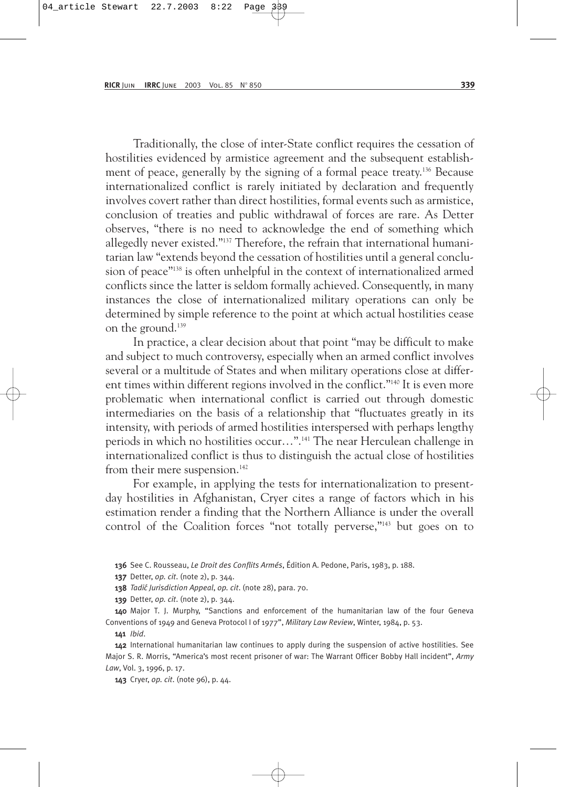Traditionally, the close of inter-State conflict requires the cessation of hostilities evidenced by armistice agreement and the subsequent establishment of peace, generally by the signing of a formal peace treaty.136 Because internationalized conflict is rarely initiated by declaration and frequently involves covert rather than direct hostilities, formal events such as armistice, conclusion of treaties and public withdrawal of forces are rare. As Detter observes, "there is no need to acknowledge the end of something which allegedly never existed."137 Therefore, the refrain that international humanitarian law "extends beyond the cessation of hostilities until a general conclusion of peace"138 is often unhelpful in the context of internationalized armed conflicts since the latter is seldom formally achieved. Consequently, in many instances the close of internationalized military operations can only be determined by simple reference to the point at which actual hostilities cease on the ground.139

In practice, a clear decision about that point "may be difficult to make and subject to much controversy, especially when an armed conflict involves several or a multitude of States and when military operations close at different times within different regions involved in the conflict."140 It is even more problematic when international conflict is carried out through domestic intermediaries on the basis of a relationship that "fluctuates greatly in its intensity, with periods of armed hostilities interspersed with perhaps lengthy periods in which no hostilities occur…".141 The near Herculean challenge in internationalized conflict is thus to distinguish the actual close of hostilities from their mere suspension.<sup>142</sup>

For example, in applying the tests for internationalization to presentday hostilities in Afghanistan, Cryer cites a range of factors which in his estimation render a finding that the Northern Alliance is under the overall control of the Coalition forces "not totally perverse,"<sup>143</sup> but goes on to

136 See C. Rousseau, *Le Droit des Conflits Armés*, Édition A. Pedone, Paris, 1983, p. 188.

137 Detter, *op. cit*. (note 2), p. 344.

138 *Tadić Jurisdiction Appeal, op. cit.* (note 28), para. 70.

139 Detter, *op. cit*. (note 2), p. 344.

140 Major T. J. Murphy, "Sanctions and enforcement of the humanitarian law of the four Geneva Conventions of 1949 and Geneva Protocol I of 1977", *Military Law Review*, Winter, 1984, p. 53.

141 *Ibid*.

142 International humanitarian law continues to apply during the suspension of active hostilities. See Major S. R. Morris, "America's most recent prisoner of war: The Warrant Officer Bobby Hall incident", *Army Law*, Vol. 3, 1996, p. 17.

143 Cryer, *op. cit*. (note 96), p. 44.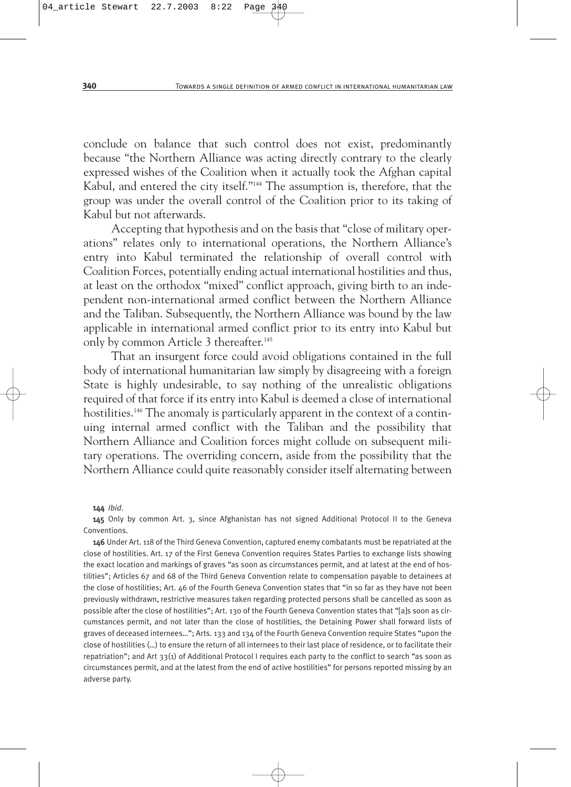conclude on balance that such control does not exist, predominantly because "the Northern Alliance was acting directly contrary to the clearly expressed wishes of the Coalition when it actually took the Afghan capital Kabul, and entered the city itself."144 The assumption is, therefore, that the group was under the overall control of the Coalition prior to its taking of Kabul but not afterwards.

Accepting that hypothesis and on the basis that "close of military operations" relates only to international operations, the Northern Alliance's entry into Kabul terminated the relationship of overall control with Coalition Forces, potentially ending actual international hostilities and thus, at least on the orthodox "mixed" conflict approach, giving birth to an independent non-international armed conflict between the Northern Alliance and the Taliban. Subsequently, the Northern Alliance was bound by the law applicable in international armed conflict prior to its entry into Kabul but only by common Article 3 thereafter.<sup>145</sup>

That an insurgent force could avoid obligations contained in the full body of international humanitarian law simply by disagreeing with a foreign State is highly undesirable, to say nothing of the unrealistic obligations required of that force if its entry into Kabul is deemed a close of international hostilities.<sup>146</sup> The anomaly is particularly apparent in the context of a continuing internal armed conflict with the Taliban and the possibility that Northern Alliance and Coalition forces might collude on subsequent military operations. The overriding concern, aside from the possibility that the Northern Alliance could quite reasonably consider itself alternating between

#### 144 *Ibid*.

145 Only by common Art. 3, since Afghanistan has not signed Additional Protocol II to the Geneva Conventions.

146 Under Art. 118 of the Third Geneva Convention, captured enemy combatants must be repatriated at the close of hostilities. Art. 17 of the First Geneva Convention requires States Parties to exchange lists showing the exact location and markings of graves "as soon as circumstances permit, and at latest at the end of hostilities"; Articles 67 and 68 of the Third Geneva Convention relate to compensation payable to detainees at the close of hostilities; Art. 46 of the Fourth Geneva Convention states that "in so far as they have not been previously withdrawn, restrictive measures taken regarding protected persons shall be cancelled as soon as possible after the close of hostilities"; Art. 130 of the Fourth Geneva Convention states that "[a]s soon as circumstances permit, and not later than the close of hostilities, the Detaining Power shall forward lists of graves of deceased internees…"; Arts. 133 and 134 of the Fourth Geneva Convention require States "upon the close of hostilities (…) to ensure the return of all internees to their last place of residence, or to facilitate their repatriation"; and Art 33(1) of Additional Protocol I requires each party to the conflict to search "as soon as circumstances permit, and at the latest from the end of active hostilities" for persons reported missing by an adverse party.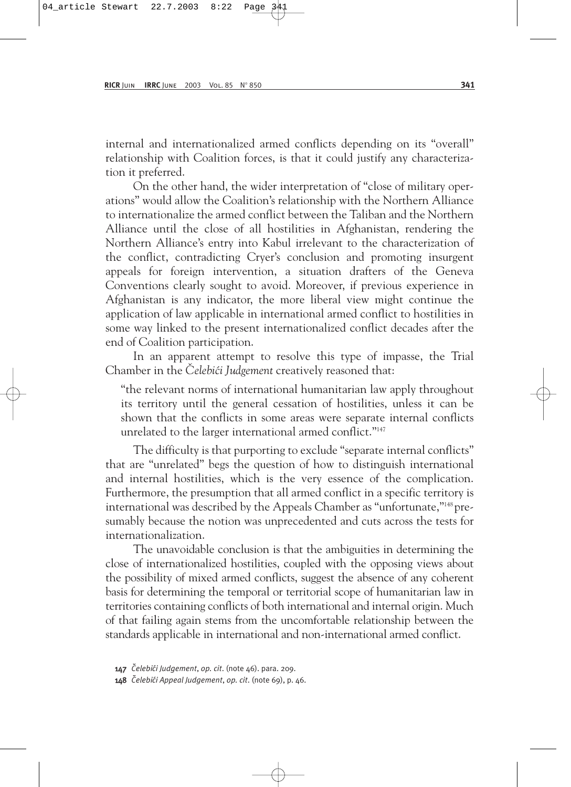internal and internationalized armed conflicts depending on its "overall" relationship with Coalition forces, is that it could justify any characterization it preferred.

On the other hand, the wider interpretation of "close of military operations" would allow the Coalition's relationship with the Northern Alliance to internationalize the armed conflict between the Taliban and the Northern Alliance until the close of all hostilities in Afghanistan, rendering the Northern Alliance's entry into Kabul irrelevant to the characterization of the conflict, contradicting Cryer's conclusion and promoting insurgent appeals for foreign intervention, a situation drafters of the Geneva Conventions clearly sought to avoid. Moreover, if previous experience in Afghanistan is any indicator, the more liberal view might continue the application of law applicable in international armed conflict to hostilities in some way linked to the present internationalized conflict decades after the end of Coalition participation.

In an apparent attempt to resolve this type of impasse, the Trial Chamber in the *Celebići Judgement* creatively reasoned that:

"the relevant norms of international humanitarian law apply throughout its territory until the general cessation of hostilities, unless it can be shown that the conflicts in some areas were separate internal conflicts unrelated to the larger international armed conflict."<sup>147</sup>

The difficulty is that purporting to exclude "separate internal conflicts" that are "unrelated" begs the question of how to distinguish international and internal hostilities, which is the very essence of the complication. Furthermore, the presumption that all armed conflict in a specific territory is international was described by the Appeals Chamber as "unfortunate,"148 presumably because the notion was unprecedented and cuts across the tests for internationalization.

The unavoidable conclusion is that the ambiguities in determining the close of internationalized hostilities, coupled with the opposing views about the possibility of mixed armed conflicts, suggest the absence of any coherent basis for determining the temporal or territorial scope of humanitarian law in territories containing conflicts of both international and internal origin. Much of that failing again stems from the uncomfortable relationship between the standards applicable in international and non-international armed conflict.

147 Čelebići Judgement, op. cit. (note 46). para. 209.

148 *Čelebići Appeal Judgement*, *op. cit.* (note 69), p. 46.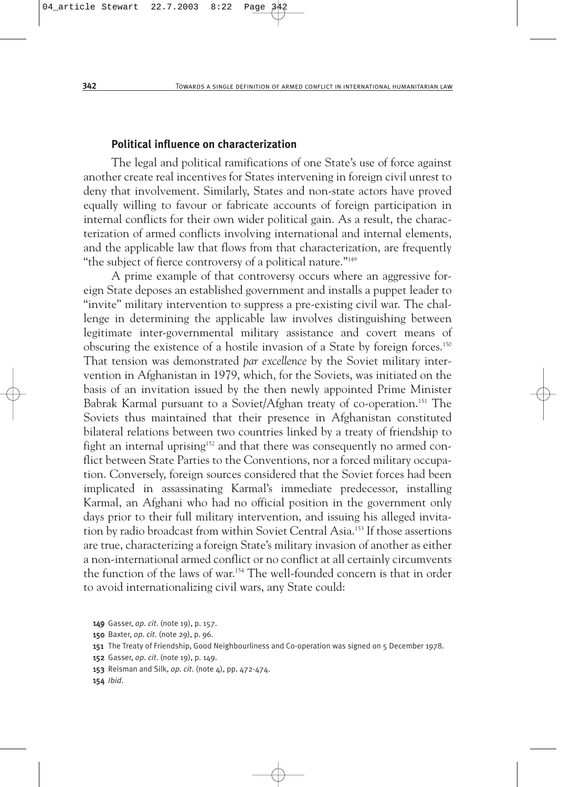#### **Political influence on characterization**

The legal and political ramifications of one State's use of force against another create real incentives for States intervening in foreign civil unrest to deny that involvement. Similarly, States and non-state actors have proved equally willing to favour or fabricate accounts of foreign participation in internal conflicts for their own wider political gain. As a result, the characterization of armed conflicts involving international and internal elements, and the applicable law that flows from that characterization, are frequently "the subject of fierce controversy of a political nature."149

A prime example of that controversy occurs where an aggressive foreign State deposes an established government and installs a puppet leader to "invite" military intervention to suppress a pre-existing civil war. The challenge in determining the applicable law involves distinguishing between legitimate inter-governmental military assistance and covert means of obscuring the existence of a hostile invasion of a State by foreign forces.150 That tension was demonstrated *par excellence* by the Soviet military intervention in Afghanistan in 1979, which, for the Soviets, was initiated on the basis of an invitation issued by the then newly appointed Prime Minister Babrak Karmal pursuant to a Soviet/Afghan treaty of co-operation.<sup>151</sup> The Soviets thus maintained that their presence in Afghanistan constituted bilateral relations between two countries linked by a treaty of friendship to fight an internal uprising<sup>152</sup> and that there was consequently no armed conflict between State Parties to the Conventions, nor a forced military occupation. Conversely, foreign sources considered that the Soviet forces had been implicated in assassinating Karmal's immediate predecessor, installing Karmal, an Afghani who had no official position in the government only days prior to their full military intervention, and issuing his alleged invitation by radio broadcast from within Soviet Central Asia.153 If those assertions are true, characterizing a foreign State's military invasion of another as either a non-international armed conflict or no conflict at all certainly circumvents the function of the laws of war.154 The well-founded concern is that in order to avoid internationalizing civil wars, any State could:

<sup>149</sup> Gasser, *op. cit*. (note 19), p. 157.

<sup>150</sup> Baxter, *op. cit*. (note 29), p. 96.

<sup>151</sup> The Treaty of Friendship, Good Neighbourliness and Co-operation was signed on 5 December 1978.

<sup>152</sup> Gasser, *op. cit*. (note 19), p. 149.

<sup>153</sup> Reisman and Silk, *op. cit*. (note 4), pp. 472-474.

<sup>154</sup> *Ibid*.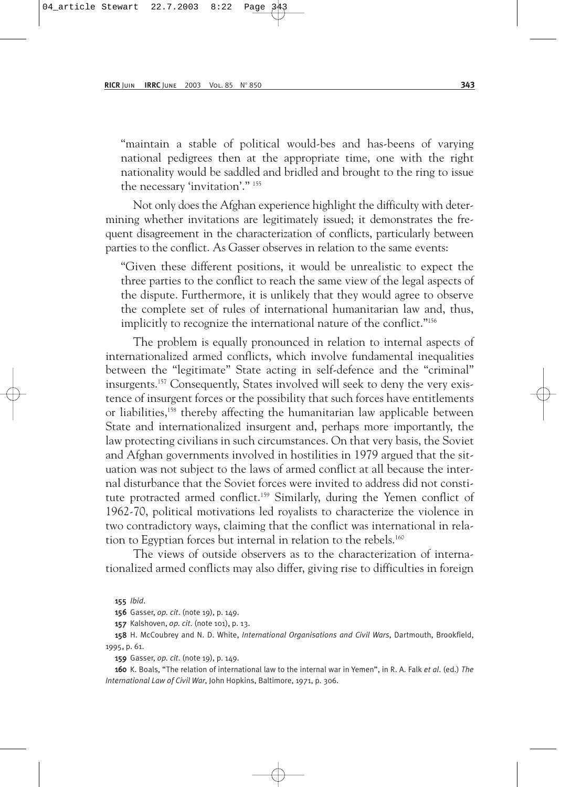"maintain a stable of political would-bes and has-beens of varying national pedigrees then at the appropriate time, one with the right nationality would be saddled and bridled and brought to the ring to issue the necessary 'invitation'." 155

Not only does the Afghan experience highlight the difficulty with determining whether invitations are legitimately issued; it demonstrates the frequent disagreement in the characterization of conflicts, particularly between parties to the conflict. As Gasser observes in relation to the same events:

"Given these different positions, it would be unrealistic to expect the three parties to the conflict to reach the same view of the legal aspects of the dispute. Furthermore, it is unlikely that they would agree to observe the complete set of rules of international humanitarian law and, thus, implicitly to recognize the international nature of the conflict."156

The problem is equally pronounced in relation to internal aspects of internationalized armed conflicts, which involve fundamental inequalities between the "legitimate" State acting in self-defence and the "criminal" insurgents.157 Consequently, States involved will seek to deny the very existence of insurgent forces or the possibility that such forces have entitlements or liabilities,<sup>158</sup> thereby affecting the humanitarian law applicable between State and internationalized insurgent and, perhaps more importantly, the law protecting civilians in such circumstances. On that very basis, the Soviet and Afghan governments involved in hostilities in 1979 argued that the situation was not subject to the laws of armed conflict at all because the internal disturbance that the Soviet forces were invited to address did not constitute protracted armed conflict.<sup>159</sup> Similarly, during the Yemen conflict of 1962-70, political motivations led royalists to characterize the violence in two contradictory ways, claiming that the conflict was international in relation to Egyptian forces but internal in relation to the rebels.<sup>160</sup>

The views of outside observers as to the characterization of internationalized armed conflicts may also differ, giving rise to difficulties in foreign

158 H. McCoubrey and N. D. White, *International Organisations and Civil Wars*, Dartmouth, Brookfield, 1995, p. 61.

159 Gasser, *op. cit*. (note 19), p. 149.

160 K. Boals, "The relation of international law to the internal war in Yemen", in R. A. Falk *et al*. (ed.) *The International Law of Civil War*, John Hopkins, Baltimore, 1971, p. 306.

<sup>155</sup> *Ibid*.

<sup>156</sup> Gasser, *op. cit*. (note 19), p. 149.

<sup>157</sup> Kalshoven, *op. cit*. (note 101), p. 13.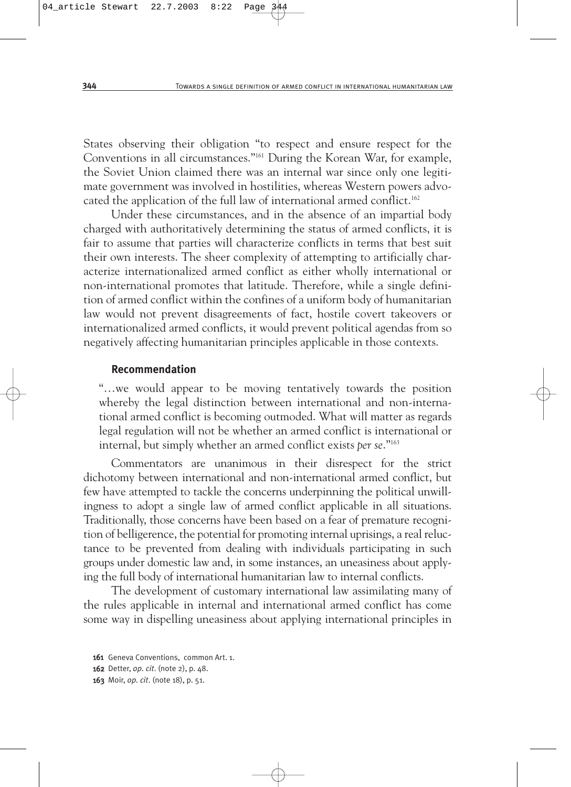States observing their obligation "to respect and ensure respect for the Conventions in all circumstances."161 During the Korean War, for example, the Soviet Union claimed there was an internal war since only one legitimate government was involved in hostilities, whereas Western powers advocated the application of the full law of international armed conflict.<sup>162</sup>

Under these circumstances, and in the absence of an impartial body charged with authoritatively determining the status of armed conflicts, it is fair to assume that parties will characterize conflicts in terms that best suit their own interests. The sheer complexity of attempting to artificially characterize internationalized armed conflict as either wholly international or non-international promotes that latitude. Therefore, while a single definition of armed conflict within the confines of a uniform body of humanitarian law would not prevent disagreements of fact, hostile covert takeovers or internationalized armed conflicts, it would prevent political agendas from so negatively affecting humanitarian principles applicable in those contexts.

#### **Recommendation**

"…we would appear to be moving tentatively towards the position whereby the legal distinction between international and non-international armed conflict is becoming outmoded. What will matter as regards legal regulation will not be whether an armed conflict is international or internal, but simply whether an armed conflict exists *per se*."163

Commentators are unanimous in their disrespect for the strict dichotomy between international and non-international armed conflict, but few have attempted to tackle the concerns underpinning the political unwillingness to adopt a single law of armed conflict applicable in all situations. Traditionally, those concerns have been based on a fear of premature recognition of belligerence, the potential for promoting internal uprisings, a real reluctance to be prevented from dealing with individuals participating in such groups under domestic law and, in some instances, an uneasiness about applying the full body of international humanitarian law to internal conflicts.

The development of customary international law assimilating many of the rules applicable in internal and international armed conflict has come some way in dispelling uneasiness about applying international principles in

<sup>161</sup> Geneva Conventions, common Art. 1.

<sup>162</sup> Detter, *op. cit*. (note 2), p. 48.

<sup>163</sup> Moir, *op. cit*. (note 18), p. 51.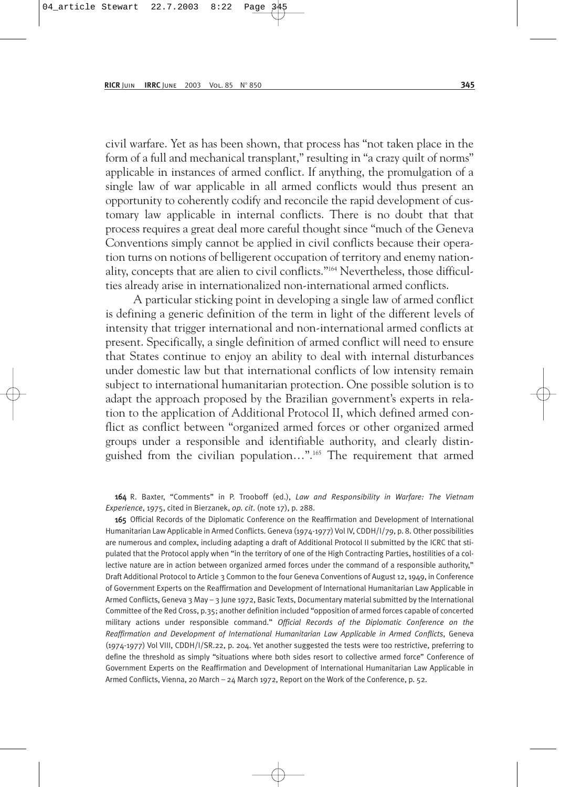civil warfare. Yet as has been shown, that process has "not taken place in the form of a full and mechanical transplant," resulting in "a crazy quilt of norms" applicable in instances of armed conflict. If anything, the promulgation of a single law of war applicable in all armed conflicts would thus present an opportunity to coherently codify and reconcile the rapid development of customary law applicable in internal conflicts. There is no doubt that that process requires a great deal more careful thought since "much of the Geneva Conventions simply cannot be applied in civil conflicts because their operation turns on notions of belligerent occupation of territory and enemy nationality, concepts that are alien to civil conflicts."164 Nevertheless, those difficulties already arise in internationalized non-international armed conflicts.

A particular sticking point in developing a single law of armed conflict is defining a generic definition of the term in light of the different levels of intensity that trigger international and non-international armed conflicts at present. Specifically, a single definition of armed conflict will need to ensure that States continue to enjoy an ability to deal with internal disturbances under domestic law but that international conflicts of low intensity remain subject to international humanitarian protection. One possible solution is to adapt the approach proposed by the Brazilian government's experts in relation to the application of Additional Protocol II, which defined armed conflict as conflict between "organized armed forces or other organized armed groups under a responsible and identifiable authority, and clearly distinguished from the civilian population…".165 The requirement that armed

164 R. Baxter, "Comments" in P. Trooboff (ed.), *Law and Responsibility in Warfare: The Vietnam Experience*, 1975, cited in Bierzanek, *op. cit*. (note 17), p. 288.

165 Official Records of the Diplomatic Conference on the Reaffirmation and Development of International Humanitarian Law Applicable in Armed Conflicts. Geneva (1974-1977) Vol IV, CDDH/I/79, p. 8. Other possibilities are numerous and complex, including adapting a draft of Additional Protocol II submitted by the ICRC that stipulated that the Protocol apply when "in the territory of one of the High Contracting Parties, hostilities of a collective nature are in action between organized armed forces under the command of a responsible authority," Draft Additional Protocol to Article 3 Common to the four Geneva Conventions of August 12, 1949, in Conference of Government Experts on the Reaffirmation and Development of International Humanitarian Law Applicable in Armed Conflicts, Geneva 3 May – 3 June 1972, Basic Texts, Documentary material submitted by the International Committee of the Red Cross, p.35; another definition included "opposition of armed forces capable of concerted military actions under responsible command." *Official Records of the Diplomatic Conference on the Reaffirmation and Development of International Humanitarian Law Applicable in Armed Conflicts*, Geneva (1974-1977) Vol VIII, CDDH/I/SR.22, p. 204. Yet another suggested the tests were too restrictive, preferring to define the threshold as simply "situations where both sides resort to collective armed force" Conference of Government Experts on the Reaffirmation and Development of International Humanitarian Law Applicable in Armed Conflicts, Vienna, 20 March – 24 March 1972, Report on the Work of the Conference, p. 52.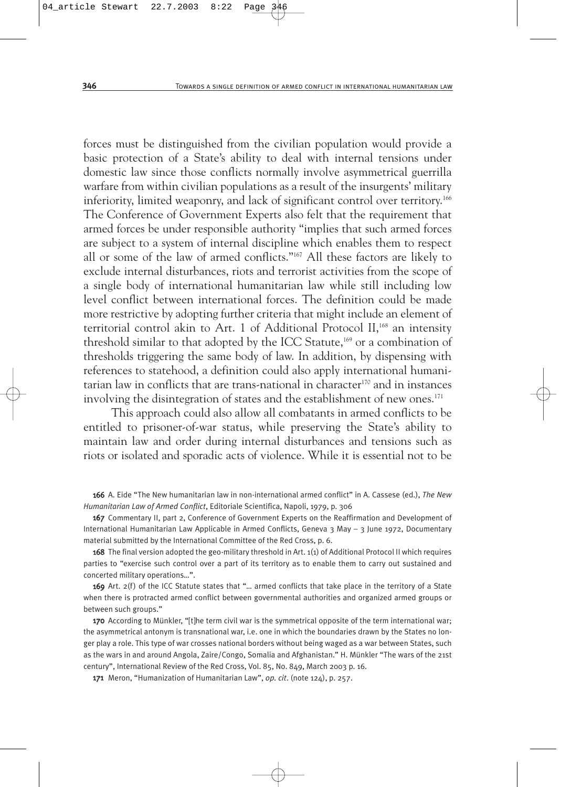forces must be distinguished from the civilian population would provide a basic protection of a State's ability to deal with internal tensions under domestic law since those conflicts normally involve asymmetrical guerrilla warfare from within civilian populations as a result of the insurgents' military inferiority, limited weaponry, and lack of significant control over territory.<sup>166</sup> The Conference of Government Experts also felt that the requirement that armed forces be under responsible authority "implies that such armed forces are subject to a system of internal discipline which enables them to respect all or some of the law of armed conflicts."167 All these factors are likely to exclude internal disturbances, riots and terrorist activities from the scope of a single body of international humanitarian law while still including low level conflict between international forces. The definition could be made more restrictive by adopting further criteria that might include an element of territorial control akin to Art. 1 of Additional Protocol II,<sup>168</sup> an intensity threshold similar to that adopted by the ICC Statute,<sup>169</sup> or a combination of thresholds triggering the same body of law. In addition, by dispensing with references to statehood, a definition could also apply international humanitarian law in conflicts that are trans-national in character<sup>170</sup> and in instances involving the disintegration of states and the establishment of new ones.<sup>171</sup>

This approach could also allow all combatants in armed conflicts to be entitled to prisoner-of-war status, while preserving the State's ability to maintain law and order during internal disturbances and tensions such as riots or isolated and sporadic acts of violence. While it is essential not to be

166 A. Eide "The New humanitarian law in non-international armed conflict" in A. Cassese (ed.), *The New Humanitarian Law of Armed Conflict*, Editoriale Scientifica, Napoli, 1979, p. 306

167 Commentary II, part 2, Conference of Government Experts on the Reaffirmation and Development of International Humanitarian Law Applicable in Armed Conflicts, Geneva 3 May – 3 June 1972, Documentary material submitted by the International Committee of the Red Cross, p. 6.

168 The final version adopted the geo-military threshold in Art. 1(1) of Additional Protocol II which requires parties to "exercise such control over a part of its territory as to enable them to carry out sustained and concerted military operations…".

169 Art. 2(f) of the ICC Statute states that "... armed conflicts that take place in the territory of a State when there is protracted armed conflict between governmental authorities and organized armed groups or between such groups."

170 According to Münkler, "[t]he term civil war is the symmetrical opposite of the term international war; the asymmetrical antonym is transnational war, i.e. one in which the boundaries drawn by the States no longer play a role. This type of war crosses national borders without being waged as a war between States, such as the wars in and around Angola, Zaire/Congo, Somalia and Afghanistan." H. Münkler "The wars of the 21st century", International Review of the Red Cross, Vol. 85, No. 849, March 2003 p. 16.

171 Meron, "Humanization of Humanitarian Law", *op. cit*. (note 124), p. 257.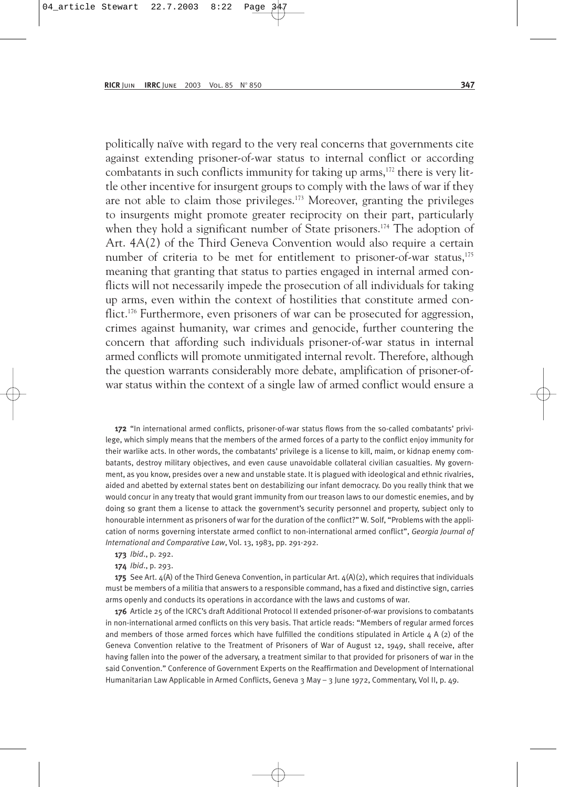politically naïve with regard to the very real concerns that governments cite against extending prisoner-of-war status to internal conflict or according combatants in such conflicts immunity for taking up arms, $172$  there is very little other incentive for insurgent groups to comply with the laws of war if they are not able to claim those privileges.173 Moreover, granting the privileges to insurgents might promote greater reciprocity on their part, particularly when they hold a significant number of State prisoners.<sup>174</sup> The adoption of Art. 4A(2) of the Third Geneva Convention would also require a certain number of criteria to be met for entitlement to prisoner-of-war status,<sup>175</sup> meaning that granting that status to parties engaged in internal armed conflicts will not necessarily impede the prosecution of all individuals for taking up arms, even within the context of hostilities that constitute armed conflict.<sup>176</sup> Furthermore, even prisoners of war can be prosecuted for aggression, crimes against humanity, war crimes and genocide, further countering the concern that affording such individuals prisoner-of-war status in internal armed conflicts will promote unmitigated internal revolt. Therefore, although the question warrants considerably more debate, amplification of prisoner-ofwar status within the context of a single law of armed conflict would ensure a

172 "In international armed conflicts, prisoner-of-war status flows from the so-called combatants' privilege, which simply means that the members of the armed forces of a party to the conflict enjoy immunity for their warlike acts. In other words, the combatants' privilege is a license to kill, maim, or kidnap enemy combatants, destroy military objectives, and even cause unavoidable collateral civilian casualties. My government, as you know, presides over a new and unstable state. It is plagued with ideological and ethnic rivalries, aided and abetted by external states bent on destabilizing our infant democracy. Do you really think that we would concur in any treaty that would grant immunity from our treason laws to our domestic enemies, and by doing so grant them a license to attack the government's security personnel and property, subject only to honourable internment as prisoners of war for the duration of the conflict?" W. Solf, "Problems with the application of norms governing interstate armed conflict to non-international armed conflict", *Georgia Journal of International and Comparative Law*, Vol. 13, 1983, pp. 291-292.

- 173 *Ibid*., p. 292.
- 174 *Ibid*., p. 293.

175 See Art.  $4(A)$  of the Third Geneva Convention, in particular Art.  $4(A)(2)$ , which requires that individuals must be members of a militia that answers to a responsible command, has a fixed and distinctive sign, carries arms openly and conducts its operations in accordance with the laws and customs of war.

176 Article 25 of the ICRC's draft Additional Protocol II extended prisoner-of-war provisions to combatants in non-international armed conflicts on this very basis. That article reads: "Members of regular armed forces and members of those armed forces which have fulfilled the conditions stipulated in Article  $4$  A (2) of the Geneva Convention relative to the Treatment of Prisoners of War of August 12, 1949, shall receive, after having fallen into the power of the adversary, a treatment similar to that provided for prisoners of war in the said Convention." Conference of Government Experts on the Reaffirmation and Development of International Humanitarian Law Applicable in Armed Conflicts, Geneva 3 May – 3 June 1972, Commentary, Vol II, p. 49.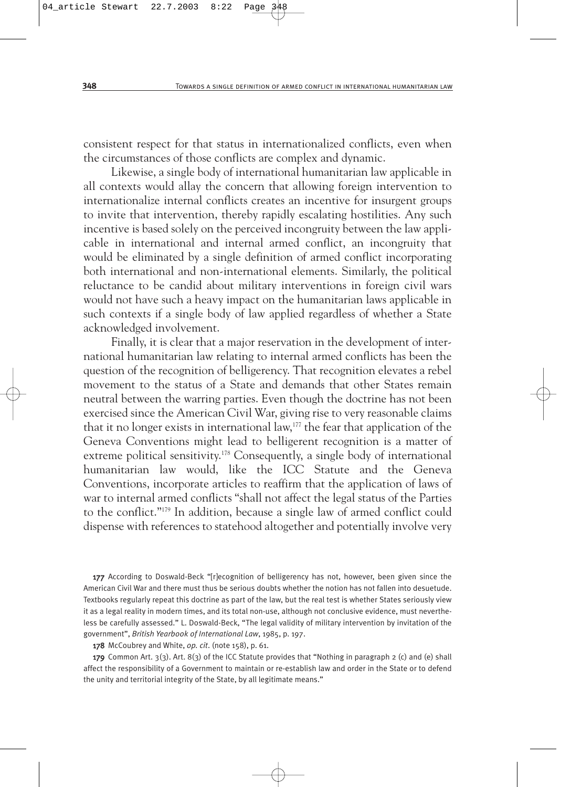consistent respect for that status in internationalized conflicts, even when the circumstances of those conflicts are complex and dynamic.

Likewise, a single body of international humanitarian law applicable in all contexts would allay the concern that allowing foreign intervention to internationalize internal conflicts creates an incentive for insurgent groups to invite that intervention, thereby rapidly escalating hostilities. Any such incentive is based solely on the perceived incongruity between the law applicable in international and internal armed conflict, an incongruity that would be eliminated by a single definition of armed conflict incorporating both international and non-international elements. Similarly, the political reluctance to be candid about military interventions in foreign civil wars would not have such a heavy impact on the humanitarian laws applicable in such contexts if a single body of law applied regardless of whether a State acknowledged involvement.

Finally, it is clear that a major reservation in the development of international humanitarian law relating to internal armed conflicts has been the question of the recognition of belligerency. That recognition elevates a rebel movement to the status of a State and demands that other States remain neutral between the warring parties. Even though the doctrine has not been exercised since the American Civil War, giving rise to very reasonable claims that it no longer exists in international law,<sup>177</sup> the fear that application of the Geneva Conventions might lead to belligerent recognition is a matter of extreme political sensitivity.178 Consequently, a single body of international humanitarian law would, like the ICC Statute and the Geneva Conventions, incorporate articles to reaffirm that the application of laws of war to internal armed conflicts "shall not affect the legal status of the Parties to the conflict."179 In addition, because a single law of armed conflict could dispense with references to statehood altogether and potentially involve very

177 According to Doswald-Beck "[r]ecognition of belligerency has not, however, been given since the American Civil War and there must thus be serious doubts whether the notion has not fallen into desuetude. Textbooks regularly repeat this doctrine as part of the law, but the real test is whether States seriously view it as a legal reality in modern times, and its total non-use, although not conclusive evidence, must nevertheless be carefully assessed." L. Doswald-Beck, "The legal validity of military intervention by invitation of the government", *British Yearbook of International Law*, 1985, p. 197.

178 McCoubrey and White, *op. cit*. (note 158), p. 61.

179 Common Art. 3(3). Art. 8(3) of the ICC Statute provides that "Nothing in paragraph 2 (c) and (e) shall affect the responsibility of a Government to maintain or re-establish law and order in the State or to defend the unity and territorial integrity of the State, by all legitimate means."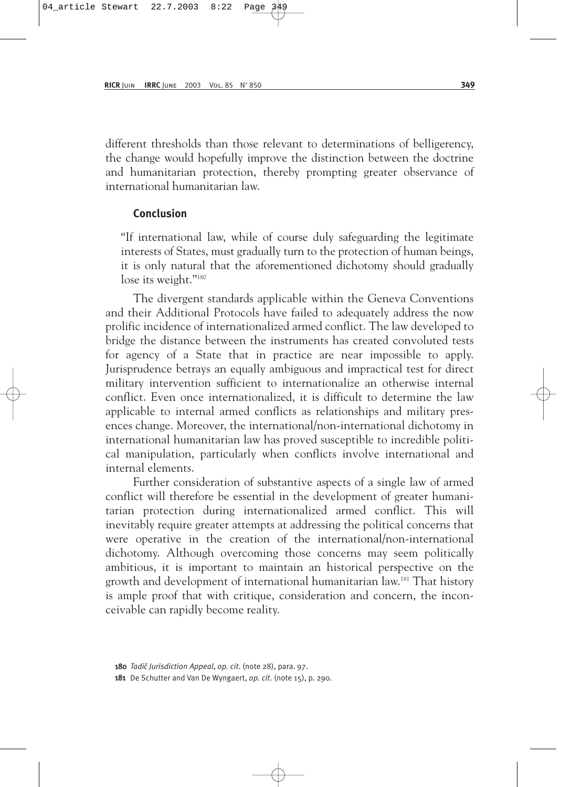different thresholds than those relevant to determinations of belligerency, the change would hopefully improve the distinction between the doctrine and humanitarian protection, thereby prompting greater observance of international humanitarian law.

#### **Conclusion**

"If international law, while of course duly safeguarding the legitimate interests of States, must gradually turn to the protection of human beings, it is only natural that the aforementioned dichotomy should gradually lose its weight."180

The divergent standards applicable within the Geneva Conventions and their Additional Protocols have failed to adequately address the now prolific incidence of internationalized armed conflict. The law developed to bridge the distance between the instruments has created convoluted tests for agency of a State that in practice are near impossible to apply. Jurisprudence betrays an equally ambiguous and impractical test for direct military intervention sufficient to internationalize an otherwise internal conflict. Even once internationalized, it is difficult to determine the law applicable to internal armed conflicts as relationships and military presences change. Moreover, the international/non-international dichotomy in international humanitarian law has proved susceptible to incredible political manipulation, particularly when conflicts involve international and internal elements.

Further consideration of substantive aspects of a single law of armed conflict will therefore be essential in the development of greater humanitarian protection during internationalized armed conflict. This will inevitably require greater attempts at addressing the political concerns that were operative in the creation of the international/non-international dichotomy. Although overcoming those concerns may seem politically ambitious, it is important to maintain an historical perspective on the growth and development of international humanitarian law.181 That history is ample proof that with critique, consideration and concern, the inconceivable can rapidly become reality.